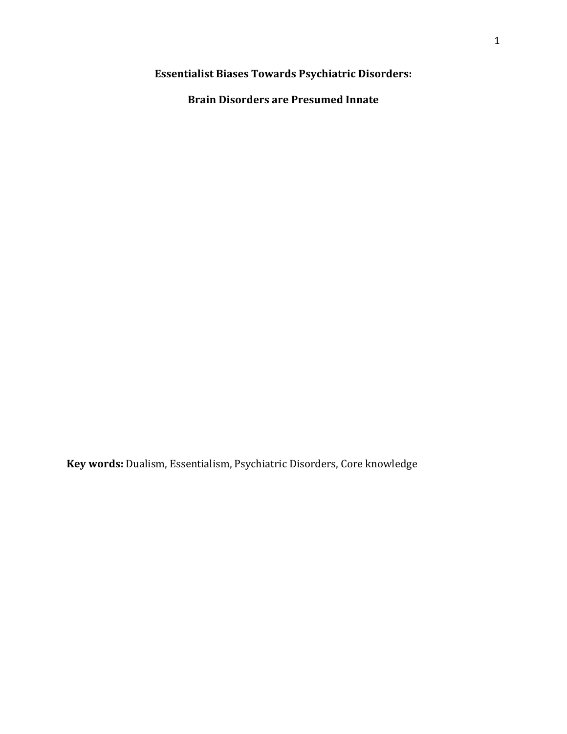**Essentialist Biases Towards Psychiatric Disorders:** 

**Brain Disorders are Presumed Innate** 

**Key words:** Dualism, Essentialism, Psychiatric Disorders, Core knowledge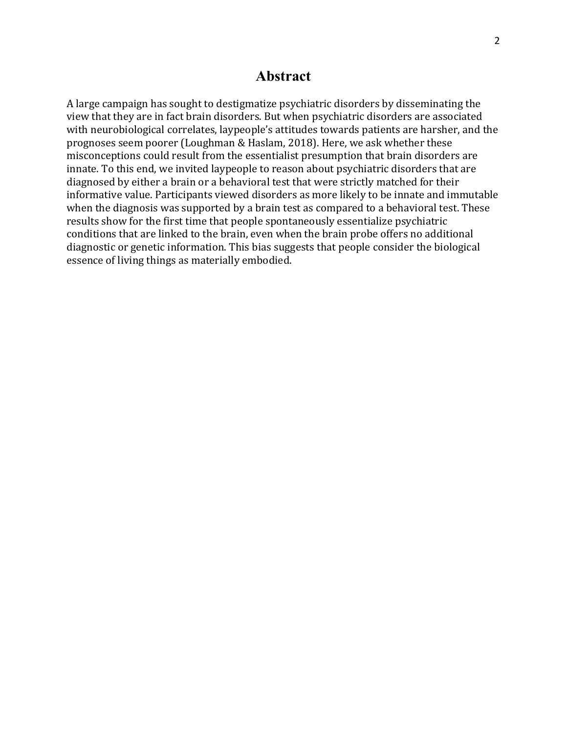# **Abstract**

A large campaign has sought to destigmatize psychiatric disorders by disseminating the view that they are in fact brain disorders. But when psychiatric disorders are associated with neurobiological correlates, laypeople's attitudes towards patients are harsher, and the prognoses seem poorer (Loughman & Haslam, 2018). Here, we ask whether these misconceptions could result from the essentialist presumption that brain disorders are innate. To this end, we invited laypeople to reason about psychiatric disorders that are diagnosed by either a brain or a behavioral test that were strictly matched for their informative value. Participants viewed disorders as more likely to be innate and immutable when the diagnosis was supported by a brain test as compared to a behavioral test. These results show for the first time that people spontaneously essentialize psychiatric conditions that are linked to the brain, even when the brain probe offers no additional diagnostic or genetic information. This bias suggests that people consider the biological essence of living things as materially embodied.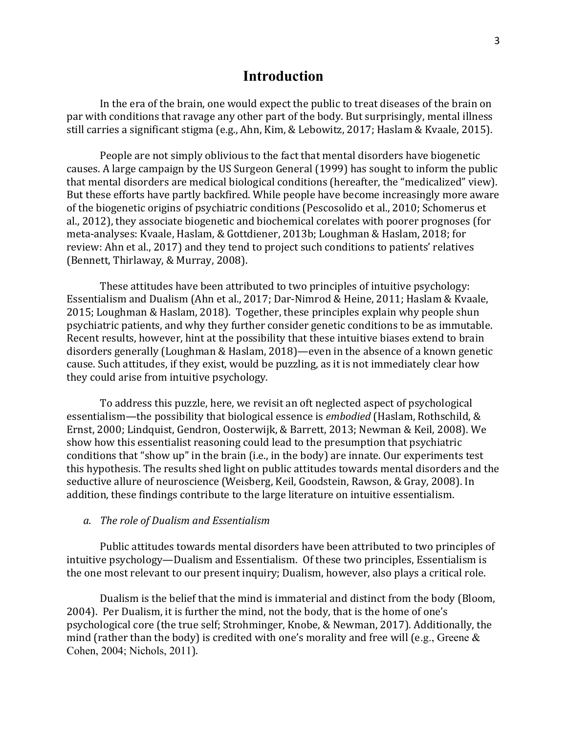### **Introduction**

In the era of the brain, one would expect the public to treat diseases of the brain on par with conditions that ravage any other part of the body. But surprisingly, mental illness still carries a significant stigma (e.g., Ahn, Kim, & Lebowitz, 2017; Haslam & Kvaale, 2015).

People are not simply oblivious to the fact that mental disorders have biogenetic causes. A large campaign by the US Surgeon General (1999) has sought to inform the public that mental disorders are medical biological conditions (hereafter, the "medicalized" view). But these efforts have partly backfired. While people have become increasingly more aware of the biogenetic origins of psychiatric conditions (Pescosolido et al., 2010; Schomerus et al., 2012), they associate biogenetic and biochemical corelates with poorer prognoses (for meta-analyses: Kvaale, Haslam, & Gottdiener, 2013b; Loughman & Haslam, 2018; for review: Ahn et al., 2017) and they tend to project such conditions to patients' relatives (Bennett, Thirlaway, & Murray, 2008).

These attitudes have been attributed to two principles of intuitive psychology: Essentialism and Dualism (Ahn et al., 2017; Dar-Nimrod & Heine, 2011; Haslam & Kvaale,  $2015$ ; Loughman & Haslam, 2018). Together, these principles explain why people shun psychiatric patients, and why they further consider genetic conditions to be as immutable. Recent results, however, hint at the possibility that these intuitive biases extend to brain disorders generally (Loughman & Haslam, 2018)—even in the absence of a known genetic cause. Such attitudes, if they exist, would be puzzling, as it is not immediately clear how they could arise from intuitive psychology.

To address this puzzle, here, we revisit an oft neglected aspect of psychological essentialism—the possibility that biological essence is *embodied* (Haslam, Rothschild, & Ernst, 2000; Lindquist, Gendron, Oosterwijk, & Barrett, 2013; Newman & Keil, 2008). We show how this essentialist reasoning could lead to the presumption that psychiatric conditions that "show up" in the brain (i.e., in the body) are innate. Our experiments test this hypothesis. The results shed light on public attitudes towards mental disorders and the seductive allure of neuroscience (Weisberg, Keil, Goodstein, Rawson, & Gray, 2008). In addition, these findings contribute to the large literature on intuitive essentialism.

#### *a. The role of Dualism and Essentialism*

Public attitudes towards mental disorders have been attributed to two principles of intuitive psychology—Dualism and Essentialism. Of these two principles, Essentialism is the one most relevant to our present inquiry; Dualism, however, also plays a critical role.

Dualism is the belief that the mind is immaterial and distinct from the body (Bloom, 2004). Per Dualism, it is further the mind, not the body, that is the home of one's psychological core (the true self; Strohminger, Knobe, & Newman, 2017). Additionally, the mind (rather than the body) is credited with one's morality and free will (e.g., Greene  $\&$ Cohen, 2004; Nichols, 2011).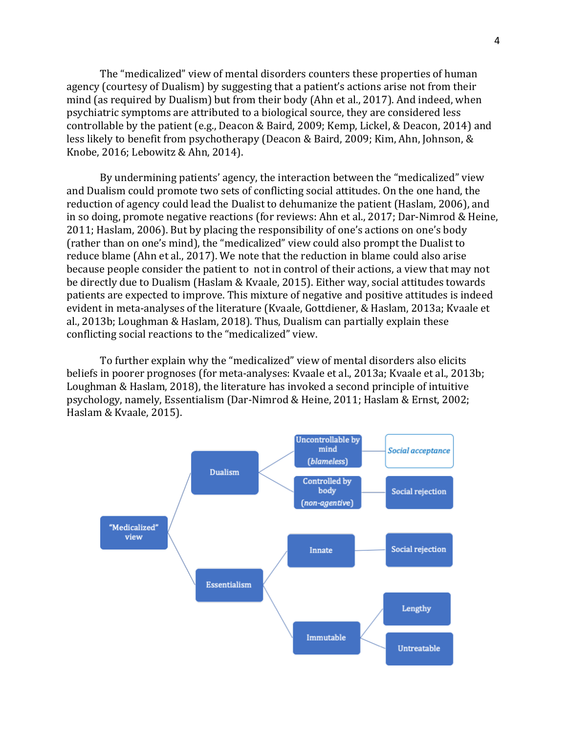The "medicalized" view of mental disorders counters these properties of human agency (courtesy of Dualism) by suggesting that a patient's actions arise not from their mind (as required by Dualism) but from their body (Ahn et al., 2017). And indeed, when psychiatric symptoms are attributed to a biological source, they are considered less controllable by the patient (e.g., Deacon & Baird, 2009; Kemp, Lickel, & Deacon, 2014) and less likely to benefit from psychotherapy (Deacon & Baird, 2009; Kim, Ahn, Johnson, & Knobe, 2016; Lebowitz & Ahn, 2014).

By undermining patients' agency, the interaction between the "medicalized" view and Dualism could promote two sets of conflicting social attitudes. On the one hand, the reduction of agency could lead the Dualist to dehumanize the patient (Haslam, 2006), and in so doing, promote negative reactions (for reviews: Ahn et al., 2017; Dar-Nimrod & Heine, 2011; Haslam, 2006). But by placing the responsibility of one's actions on one's body (rather than on one's mind), the "medicalized" view could also prompt the Dualist to reduce blame (Ahn et al., 2017). We note that the reduction in blame could also arise because people consider the patient to not in control of their actions, a view that may not be directly due to Dualism (Haslam & Kvaale, 2015). Either way, social attitudes towards patients are expected to improve. This mixture of negative and positive attitudes is indeed evident in meta-analyses of the literature (Kvaale, Gottdiener, & Haslam, 2013a; Kvaale et al., 2013b; Loughman & Haslam, 2018). Thus, Dualism can partially explain these conflicting social reactions to the "medicalized" view.

To further explain why the "medicalized" view of mental disorders also elicits beliefs in poorer prognoses (for meta-analyses: Kvaale et al., 2013a; Kvaale et al., 2013b; Loughman & Haslam, 2018), the literature has invoked a second principle of intuitive psychology, namely, Essentialism (Dar-Nimrod & Heine, 2011; Haslam & Ernst, 2002; Haslam & Kvaale, 2015).

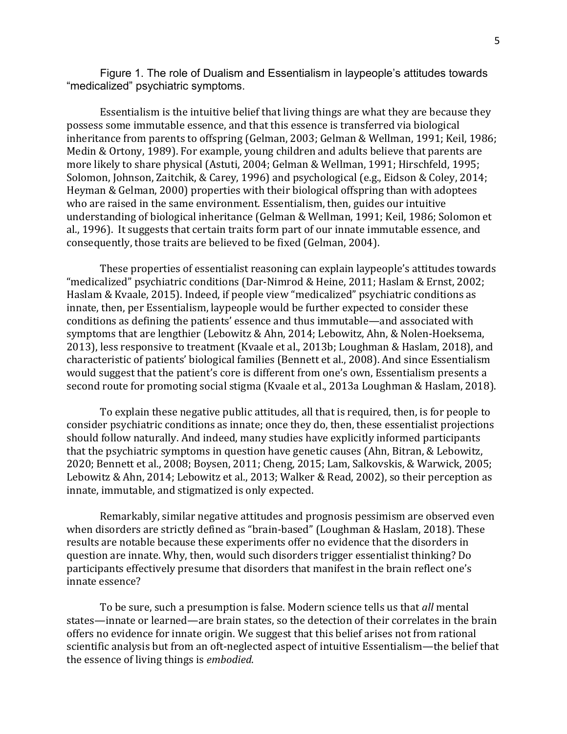Figure 1. The role of Dualism and Essentialism in laypeople's attitudes towards "medicalized" psychiatric symptoms.

Essentialism is the intuitive belief that living things are what they are because they possess some immutable essence, and that this essence is transferred via biological inheritance from parents to offspring (Gelman, 2003; Gelman & Wellman, 1991; Keil, 1986; Medin & Ortony, 1989). For example, young children and adults believe that parents are more likely to share physical (Astuti, 2004; Gelman & Wellman, 1991; Hirschfeld, 1995; Solomon, Johnson, Zaitchik, & Carey, 1996) and psychological (e.g., Eidson & Coley, 2014; Heyman & Gelman, 2000) properties with their biological offspring than with adoptees who are raised in the same environment. Essentialism, then, guides our intuitive understanding of biological inheritance (Gelman & Wellman, 1991; Keil, 1986; Solomon et al., 1996). It suggests that certain traits form part of our innate immutable essence, and consequently, those traits are believed to be fixed (Gelman, 2004).

These properties of essentialist reasoning can explain laypeople's attitudes towards "medicalized" psychiatric conditions (Dar-Nimrod & Heine, 2011; Haslam & Ernst, 2002; Haslam & Kvaale, 2015). Indeed, if people view "medicalized" psychiatric conditions as innate, then, per Essentialism, laypeople would be further expected to consider these conditions as defining the patients' essence and thus immutable—and associated with symptoms that are lengthier (Lebowitz & Ahn, 2014; Lebowitz, Ahn, & Nolen-Hoeksema, 2013), less responsive to treatment (Kvaale et al., 2013b; Loughman & Haslam, 2018), and characteristic of patients' biological families (Bennett et al., 2008). And since Essentialism would suggest that the patient's core is different from one's own, Essentialism presents a second route for promoting social stigma (Kvaale et al., 2013a Loughman & Haslam, 2018).

To explain these negative public attitudes, all that is required, then, is for people to consider psychiatric conditions as innate; once they do, then, these essentialist projections should follow naturally. And indeed, many studies have explicitly informed participants that the psychiatric symptoms in question have genetic causes (Ahn, Bitran, & Lebowitz, 2020; Bennett et al., 2008; Boysen, 2011; Cheng, 2015; Lam, Salkovskis, & Warwick, 2005; Lebowitz & Ahn, 2014; Lebowitz et al., 2013; Walker & Read, 2002), so their perception as innate, immutable, and stigmatized is only expected.

Remarkably, similar negative attitudes and prognosis pessimism are observed even when disorders are strictly defined as "brain-based" (Loughman & Haslam, 2018). These results are notable because these experiments offer no evidence that the disorders in question are innate. Why, then, would such disorders trigger essentialist thinking? Do participants effectively presume that disorders that manifest in the brain reflect one's innate essence?

To be sure, such a presumption is false. Modern science tells us that *all* mental states—innate or learned—are brain states, so the detection of their correlates in the brain offers no evidence for innate origin. We suggest that this belief arises not from rational scientific analysis but from an oft-neglected aspect of intuitive Essentialism—the belief that the essence of living things is *embodied*.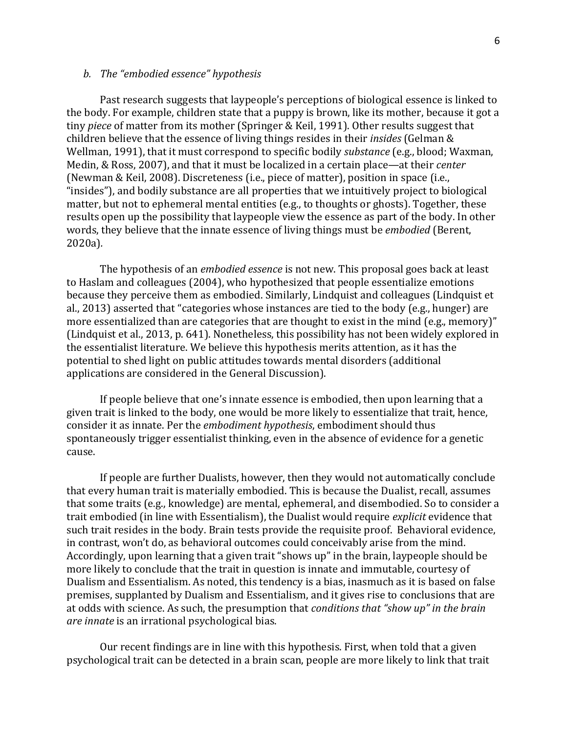#### *b. The "embodied essence" hypothesis*

Past research suggests that laypeople's perceptions of biological essence is linked to the body. For example, children state that a puppy is brown, like its mother, because it got a tiny *piece* of matter from its mother (Springer & Keil, 1991). Other results suggest that children believe that the essence of living things resides in their *insides* (Gelman & Wellman, 1991), that it must correspond to specific bodily *substance* (e.g., blood; Waxman, Medin, & Ross, 2007), and that it must be localized in a certain place—at their *center* (Newman & Keil, 2008). Discreteness (i.e., piece of matter), position in space (i.e., "insides"), and bodily substance are all properties that we intuitively project to biological matter, but not to ephemeral mental entities (e.g., to thoughts or ghosts). Together, these results open up the possibility that laypeople view the essence as part of the body. In other words, they believe that the innate essence of living things must be *embodied* (Berent, 2020a)*.* 

The hypothesis of an *embodied essence* is not new. This proposal goes back at least to Haslam and colleagues (2004), who hypothesized that people essentialize emotions because they perceive them as embodied. Similarly, Lindquist and colleagues (Lindquist et al., 2013) asserted that "categories whose instances are tied to the body (e.g., hunger) are more essentialized than are categories that are thought to exist in the mind (e.g., memory)" (Lindquist et al., 2013, p. 641). Nonetheless, this possibility has not been widely explored in the essentialist literature. We believe this hypothesis merits attention, as it has the potential to shed light on public attitudes towards mental disorders (additional applications are considered in the General Discussion).

If people believe that one's innate essence is embodied, then upon learning that a given trait is linked to the body, one would be more likely to essentialize that trait, hence, consider it as innate. Per the *embodiment hypothesis*, embodiment should thus spontaneously trigger essentialist thinking, even in the absence of evidence for a genetic cause. 

If people are further Dualists, however, then they would not automatically conclude that every human trait is materially embodied. This is because the Dualist, recall, assumes that some traits (e.g., knowledge) are mental, ephemeral, and disembodied. So to consider a trait embodied (in line with Essentialism), the Dualist would require *explicit* evidence that such trait resides in the body. Brain tests provide the requisite proof. Behavioral evidence, in contrast, won't do, as behavioral outcomes could conceivably arise from the mind. Accordingly, upon learning that a given trait "shows up" in the brain, laypeople should be more likely to conclude that the trait in question is innate and immutable, courtesy of Dualism and Essentialism. As noted, this tendency is a bias, inasmuch as it is based on false premises, supplanted by Dualism and Essentialism, and it gives rise to conclusions that are at odds with science. As such, the presumption that *conditions* that "show up" in the brain *are innate* is an irrational psychological bias.

Our recent findings are in line with this hypothesis. First, when told that a given psychological trait can be detected in a brain scan, people are more likely to link that trait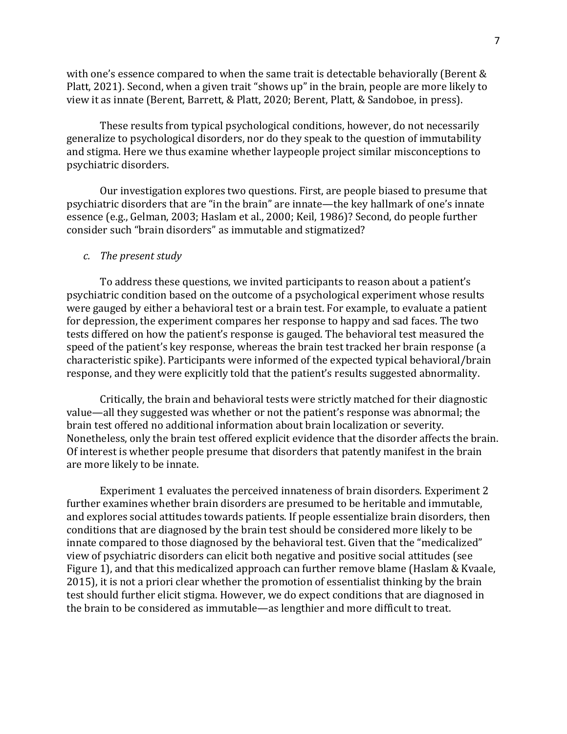with one's essence compared to when the same trait is detectable behaviorally (Berent  $&$ Platt, 2021). Second, when a given trait "shows up" in the brain, people are more likely to view it as innate (Berent, Barrett, & Platt, 2020; Berent, Platt, & Sandoboe, in press).

These results from typical psychological conditions, however, do not necessarily generalize to psychological disorders, nor do they speak to the question of immutability and stigma. Here we thus examine whether laypeople project similar misconceptions to psychiatric disorders.

Our investigation explores two questions. First, are people biased to presume that psychiatric disorders that are "in the brain" are innate—the key hallmark of one's innate essence (e.g., Gelman, 2003; Haslam et al., 2000; Keil, 1986)? Second, do people further consider such "brain disorders" as immutable and stigmatized?

#### *c.* The present study

To address these questions, we invited participants to reason about a patient's psychiatric condition based on the outcome of a psychological experiment whose results were gauged by either a behavioral test or a brain test. For example, to evaluate a patient for depression, the experiment compares her response to happy and sad faces. The two tests differed on how the patient's response is gauged. The behavioral test measured the speed of the patient's key response, whereas the brain test tracked her brain response (a characteristic spike). Participants were informed of the expected typical behavioral/brain response, and they were explicitly told that the patient's results suggested abnormality.

Critically, the brain and behavioral tests were strictly matched for their diagnostic value—all they suggested was whether or not the patient's response was abnormal; the brain test offered no additional information about brain localization or severity. Nonetheless, only the brain test offered explicit evidence that the disorder affects the brain. Of interest is whether people presume that disorders that patently manifest in the brain are more likely to be innate.

Experiment 1 evaluates the perceived innateness of brain disorders. Experiment 2 further examines whether brain disorders are presumed to be heritable and immutable, and explores social attitudes towards patients. If people essentialize brain disorders, then conditions that are diagnosed by the brain test should be considered more likely to be innate compared to those diagnosed by the behavioral test. Given that the "medicalized" view of psychiatric disorders can elicit both negative and positive social attitudes (see Figure 1), and that this medicalized approach can further remove blame (Haslam & Kvaale, 2015), it is not a priori clear whether the promotion of essentialist thinking by the brain test should further elicit stigma. However, we do expect conditions that are diagnosed in the brain to be considered as immutable—as lengthier and more difficult to treat.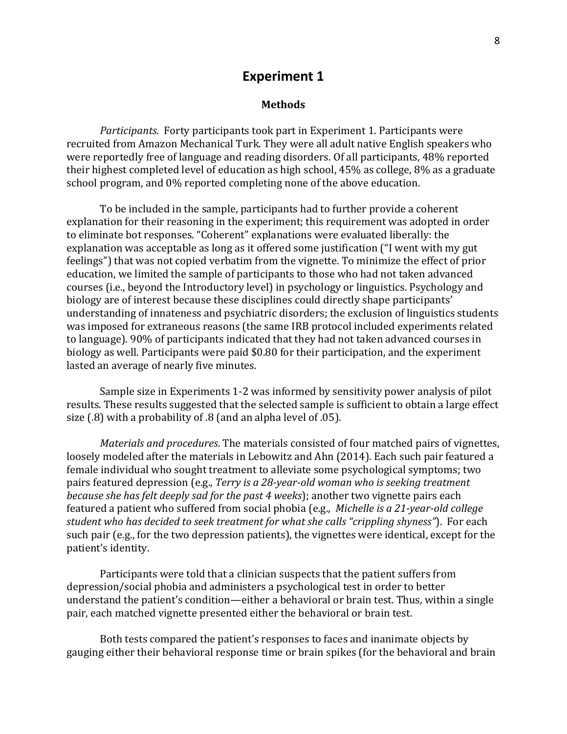### **Experiment 1**

#### **Methods**

*Participants.* Forty participants took part in Experiment 1. Participants were recruited from Amazon Mechanical Turk. They were all adult native English speakers who were reportedly free of language and reading disorders. Of all participants, 48% reported their highest completed level of education as high school,  $45\%$  as college,  $8\%$  as a graduate school program, and 0% reported completing none of the above education.

To be included in the sample, participants had to further provide a coherent explanation for their reasoning in the experiment; this requirement was adopted in order to eliminate bot responses. "Coherent" explanations were evaluated liberally: the explanation was acceptable as long as it offered some justification ("I went with my gut feelings") that was not copied verbatim from the vignette. To minimize the effect of prior education, we limited the sample of participants to those who had not taken advanced courses (i.e., beyond the Introductory level) in psychology or linguistics. Psychology and biology are of interest because these disciplines could directly shape participants' understanding of innateness and psychiatric disorders; the exclusion of linguistics students was imposed for extraneous reasons (the same IRB protocol included experiments related to language). 90% of participants indicated that they had not taken advanced courses in biology as well. Participants were paid \$0.80 for their participation, and the experiment lasted an average of nearly five minutes.

Sample size in Experiments 1-2 was informed by sensitivity power analysis of pilot results. These results suggested that the selected sample is sufficient to obtain a large effect size  $(0.8)$  with a probability of  $0.8$  (and an alpha level of  $0.05$ ).

*Materials and procedures*. The materials consisted of four matched pairs of vignettes, loosely modeled after the materials in Lebowitz and Ahn (2014). Each such pair featured a female individual who sought treatment to alleviate some psychological symptoms; two pairs featured depression (e.g., *Terry is a 28-year-old woman who is seeking treatment because she has felt deeply sad for the past 4 weeks*); another two vignette pairs each featured a patient who suffered from social phobia (e.g., *Michelle is a 21-year-old college student* who has decided to seek treatment for what she calls "crippling shyness"). For each such pair (e.g., for the two depression patients), the vignettes were identical, except for the patient's identity.

Participants were told that a clinician suspects that the patient suffers from depression/social phobia and administers a psychological test in order to better understand the patient's condition—either a behavioral or brain test. Thus, within a single pair, each matched vignette presented either the behavioral or brain test.

Both tests compared the patient's responses to faces and inanimate objects by gauging either their behavioral response time or brain spikes (for the behavioral and brain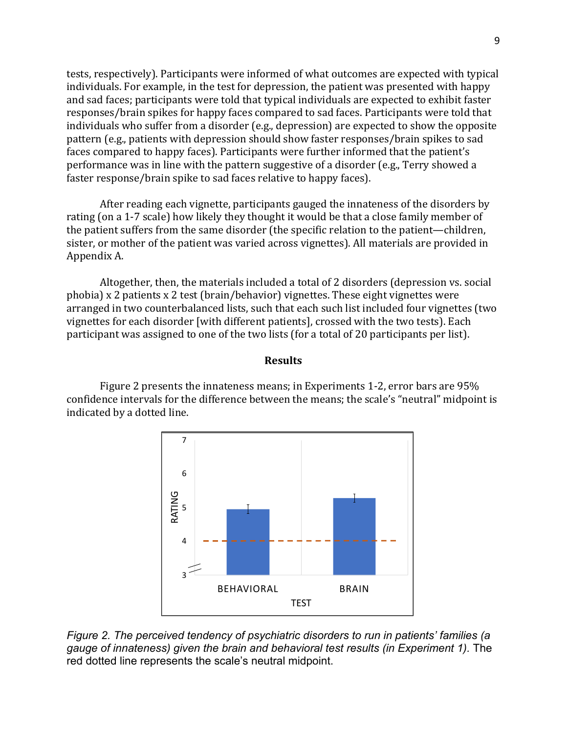tests, respectively). Participants were informed of what outcomes are expected with typical individuals. For example, in the test for depression, the patient was presented with happy and sad faces; participants were told that typical individuals are expected to exhibit faster responses/brain spikes for happy faces compared to sad faces. Participants were told that individuals who suffer from a disorder (e.g., depression) are expected to show the opposite pattern (e.g., patients with depression should show faster responses/brain spikes to sad faces compared to happy faces). Participants were further informed that the patient's performance was in line with the pattern suggestive of a disorder (e.g., Terry showed a faster response/brain spike to sad faces relative to happy faces).

After reading each vignette, participants gauged the innateness of the disorders by rating (on a 1-7 scale) how likely they thought it would be that a close family member of the patient suffers from the same disorder (the specific relation to the patient—children, sister, or mother of the patient was varied across vignettes). All materials are provided in Appendix A.

Altogether, then, the materials included a total of 2 disorders (depression vs. social phobia)  $x \, 2$  patients  $x \, 2$  test (brain/behavior) vignettes. These eight vignettes were arranged in two counterbalanced lists, such that each such list included four vignettes (two vignettes for each disorder [with different patients], crossed with the two tests). Each participant was assigned to one of the two lists (for a total of 20 participants per list).

#### **Results**

Figure 2 presents the innateness means; in Experiments 1-2, error bars are  $95\%$ confidence intervals for the difference between the means; the scale's "neutral" midpoint is indicated by a dotted line.



*Figure 2. The perceived tendency of psychiatric disorders to run in patients' families (a gauge of innateness) given the brain and behavioral test results (in Experiment 1).* The red dotted line represents the scale's neutral midpoint.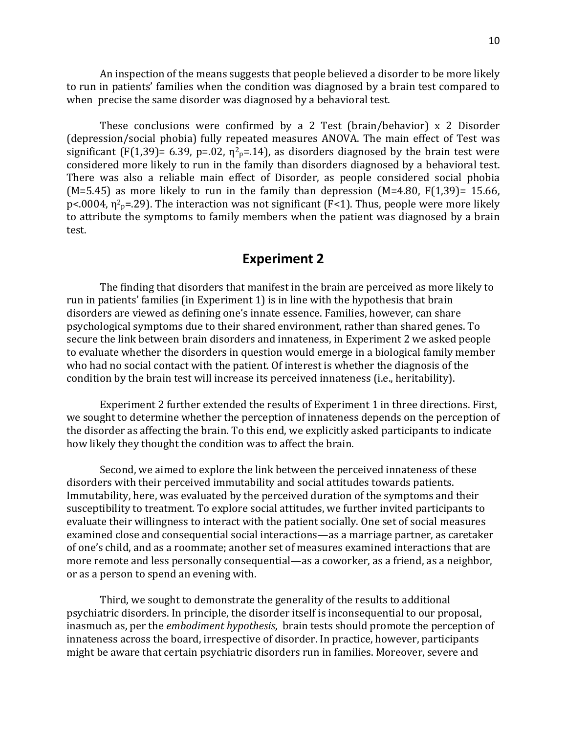An inspection of the means suggests that people believed a disorder to be more likely to run in patients' families when the condition was diagnosed by a brain test compared to when precise the same disorder was diagnosed by a behavioral test.

These conclusions were confirmed by a 2 Test (brain/behavior)  $x$  2 Disorder (depression/social phobia) fully repeated measures ANOVA. The main effect of Test was significant (F(1,39)= 6.39, p=.02,  $\eta^2$ <sub>p</sub>=.14), as disorders diagnosed by the brain test were considered more likely to run in the family than disorders diagnosed by a behavioral test. There was also a reliable main effect of Disorder, as people considered social phobia (M=5.45) as more likely to run in the family than depression (M=4.80,  $F(1,39)$ = 15.66, p<.0004,  $\eta^2$ <sub>p</sub>=.29). The interaction was not significant (F<1). Thus, people were more likely to attribute the symptoms to family members when the patient was diagnosed by a brain test.

# **Experiment 2**

The finding that disorders that manifest in the brain are perceived as more likely to run in patients' families (in Experiment 1) is in line with the hypothesis that brain disorders are viewed as defining one's innate essence. Families, however, can share psychological symptoms due to their shared environment, rather than shared genes. To secure the link between brain disorders and innateness, in Experiment 2 we asked people to evaluate whether the disorders in question would emerge in a biological family member who had no social contact with the patient. Of interest is whether the diagnosis of the condition by the brain test will increase its perceived innateness (i.e., heritability).

Experiment 2 further extended the results of Experiment 1 in three directions. First, we sought to determine whether the perception of innateness depends on the perception of the disorder as affecting the brain. To this end, we explicitly asked participants to indicate how likely they thought the condition was to affect the brain.

Second, we aimed to explore the link between the perceived innateness of these disorders with their perceived immutability and social attitudes towards patients. Immutability, here, was evaluated by the perceived duration of the symptoms and their susceptibility to treatment. To explore social attitudes, we further invited participants to evaluate their willingness to interact with the patient socially. One set of social measures examined close and consequential social interactions—as a marriage partner, as caretaker of one's child, and as a roommate; another set of measures examined interactions that are more remote and less personally consequential—as a coworker, as a friend, as a neighbor, or as a person to spend an evening with.

Third, we sought to demonstrate the generality of the results to additional psychiatric disorders. In principle, the disorder itself is inconsequential to our proposal, inasmuch as, per the *embodiment hypothesis*, brain tests should promote the perception of innateness across the board, irrespective of disorder. In practice, however, participants might be aware that certain psychiatric disorders run in families. Moreover, severe and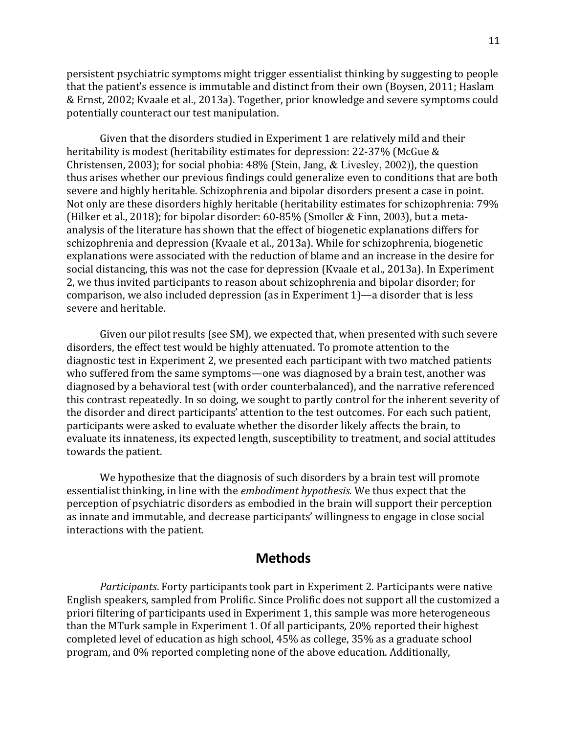persistent psychiatric symptoms might trigger essentialist thinking by suggesting to people that the patient's essence is immutable and distinct from their own (Boysen, 2011; Haslam & Ernst, 2002; Kvaale et al., 2013a). Together, prior knowledge and severe symptoms could potentially counteract our test manipulation.

Given that the disorders studied in Experiment 1 are relatively mild and their heritability is modest (heritability estimates for depression: 22-37% (McGue & Christensen, 2003); for social phobia:  $48\%$  (Stein, Jang, & Livesley, 2002)), the question thus arises whether our previous findings could generalize even to conditions that are both severe and highly heritable. Schizophrenia and bipolar disorders present a case in point. Not only are these disorders highly heritable (heritability estimates for schizophrenia: 79% (Hilker et al., 2018); for bipolar disorder: 60-85% (Smoller & Finn, 2003), but a metaanalysis of the literature has shown that the effect of biogenetic explanations differs for schizophrenia and depression (Kvaale et al., 2013a). While for schizophrenia, biogenetic explanations were associated with the reduction of blame and an increase in the desire for social distancing, this was not the case for depression (Kvaale et al., 2013a). In Experiment 2, we thus invited participants to reason about schizophrenia and bipolar disorder; for comparison, we also included depression (as in Experiment  $1$ )—a disorder that is less severe and heritable.

Given our pilot results (see SM), we expected that, when presented with such severe disorders, the effect test would be highly attenuated. To promote attention to the diagnostic test in Experiment 2, we presented each participant with two matched patients who suffered from the same symptoms—one was diagnosed by a brain test, another was diagnosed by a behavioral test (with order counterbalanced), and the narrative referenced this contrast repeatedly. In so doing, we sought to partly control for the inherent severity of the disorder and direct participants' attention to the test outcomes. For each such patient, participants were asked to evaluate whether the disorder likely affects the brain, to evaluate its innateness, its expected length, susceptibility to treatment, and social attitudes towards the patient.

We hypothesize that the diagnosis of such disorders by a brain test will promote essentialist thinking, in line with the *embodiment hypothesis*. We thus expect that the perception of psychiatric disorders as embodied in the brain will support their perception as innate and immutable, and decrease participants' willingness to engage in close social interactions with the patient.

## **Methods**

*Participants*. Forty participants took part in Experiment 2. Participants were native English speakers, sampled from Prolific. Since Prolific does not support all the customized a priori filtering of participants used in Experiment 1, this sample was more heterogeneous than the MTurk sample in Experiment 1. Of all participants, 20% reported their highest completed level of education as high school, 45% as college, 35% as a graduate school program, and 0% reported completing none of the above education. Additionally,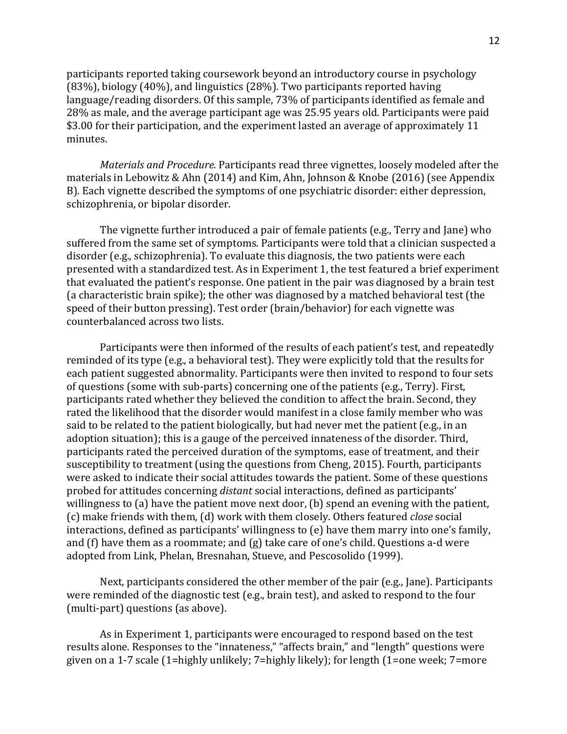participants reported taking coursework beyond an introductory course in psychology (83%), biology (40%), and linguistics (28%). Two participants reported having language/reading disorders. Of this sample, 73% of participants identified as female and 28% as male, and the average participant age was 25.95 years old. Participants were paid \$3.00 for their participation, and the experiment lasted an average of approximately 11 minutes.

*Materials and Procedure.* Participants read three vignettes, loosely modeled after the materials in Lebowitz & Ahn (2014) and Kim, Ahn, Johnson & Knobe (2016) (see Appendix B). Each vignette described the symptoms of one psychiatric disorder: either depression, schizophrenia, or bipolar disorder.

The vignette further introduced a pair of female patients (e.g., Terry and Jane) who suffered from the same set of symptoms. Participants were told that a clinician suspected a disorder (e.g., schizophrenia). To evaluate this diagnosis, the two patients were each presented with a standardized test. As in Experiment 1, the test featured a brief experiment that evaluated the patient's response. One patient in the pair was diagnosed by a brain test (a characteristic brain spike); the other was diagnosed by a matched behavioral test (the speed of their button pressing). Test order (brain/behavior) for each vignette was counterbalanced across two lists.

Participants were then informed of the results of each patient's test, and repeatedly reminded of its type (e.g., a behavioral test). They were explicitly told that the results for each patient suggested abnormality. Participants were then invited to respond to four sets of questions (some with sub-parts) concerning one of the patients (e.g., Terry). First, participants rated whether they believed the condition to affect the brain. Second, they rated the likelihood that the disorder would manifest in a close family member who was said to be related to the patient biologically, but had never met the patient  $(e.g., in an$ adoption situation); this is a gauge of the perceived innateness of the disorder. Third, participants rated the perceived duration of the symptoms, ease of treatment, and their susceptibility to treatment (using the questions from Cheng, 2015). Fourth, participants were asked to indicate their social attitudes towards the patient. Some of these questions probed for attitudes concerning *distant* social interactions, defined as participants' willingness to  $(a)$  have the patient move next door,  $(b)$  spend an evening with the patient, (c) make friends with them, (d) work with them closely. Others featured *close* social interactions, defined as participants' willingness to (e) have them marry into one's family, and  $(f)$  have them as a roommate; and  $(g)$  take care of one's child. Questions a-d were adopted from Link, Phelan, Bresnahan, Stueve, and Pescosolido (1999).

Next, participants considered the other member of the pair (e.g., Jane). Participants were reminded of the diagnostic test (e.g., brain test), and asked to respond to the four (multi-part) questions (as above).

As in Experiment 1, participants were encouraged to respond based on the test results alone. Responses to the "innateness," "affects brain," and "length" questions were given on a 1-7 scale  $(1=$ highly unlikely;  $7=$ highly likely); for length  $(1=$ one week;  $7=$ more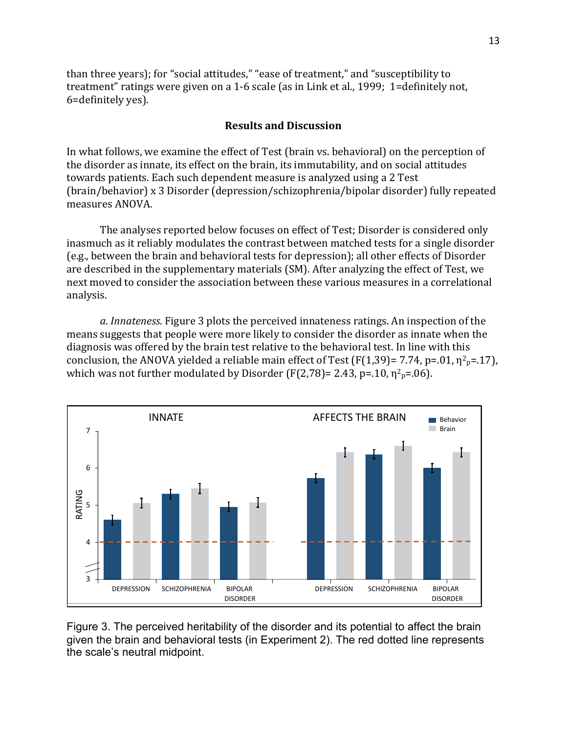than three years); for "social attitudes," "ease of treatment," and "susceptibility to treatment" ratings were given on a 1-6 scale (as in Link et al., 1999; 1=definitely not, 6=definitely yes).

#### **Results and Discussion**

In what follows, we examine the effect of Test (brain vs. behavioral) on the perception of the disorder as innate, its effect on the brain, its immutability, and on social attitudes towards patients. Each such dependent measure is analyzed using a 2 Test (brain/behavior) x 3 Disorder (depression/schizophrenia/bipolar disorder) fully repeated measures ANOVA. 

The analyses reported below focuses on effect of Test; Disorder is considered only inasmuch as it reliably modulates the contrast between matched tests for a single disorder (e.g., between the brain and behavioral tests for depression); all other effects of Disorder are described in the supplementary materials (SM). After analyzing the effect of Test, we next moved to consider the association between these various measures in a correlational analysis.

a. Innateness. Figure 3 plots the perceived innateness ratings. An inspection of the means suggests that people were more likely to consider the disorder as innate when the diagnosis was offered by the brain test relative to the behavioral test. In line with this conclusion, the ANOVA yielded a reliable main effect of Test (F(1,39)= 7.74, p=.01,  $\eta^2$ <sub>p</sub>=.17), which was not further modulated by Disorder (F(2,78)= 2.43, p=.10,  $\eta^2$ <sub>p</sub>=.06).



Figure 3. The perceived heritability of the disorder and its potential to affect the brain given the brain and behavioral tests (in Experiment 2). The red dotted line represents the scale's neutral midpoint.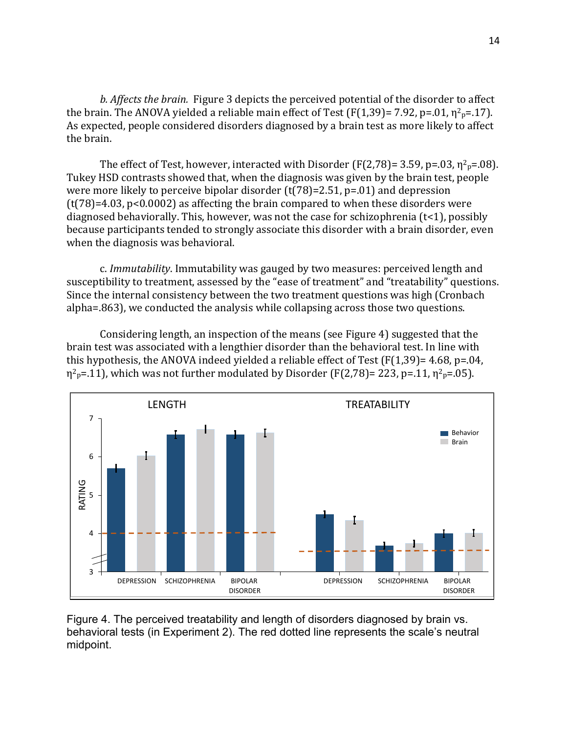*b.* Affects the brain. Figure 3 depicts the perceived potential of the disorder to affect the brain. The ANOVA yielded a reliable main effect of Test (F(1,39)= 7.92, p=.01,  $\eta^2$ <sub>p</sub>=.17). As expected, people considered disorders diagnosed by a brain test as more likely to affect the brain.

The effect of Test, however, interacted with Disorder (F(2,78)= 3.59, p=.03,  $\eta^2$ <sub>p</sub>=.08). Tukey HSD contrasts showed that, when the diagnosis was given by the brain test, people were more likely to perceive bipolar disorder  $(t(78)=2.51, p=.01)$  and depression  $(t(78)=4.03, p<0.0002)$  as affecting the brain compared to when these disorders were diagnosed behaviorally. This, however, was not the case for schizophrenia  $(t<1)$ , possibly because participants tended to strongly associate this disorder with a brain disorder, even when the diagnosis was behavioral.

c. *Immutability*. Immutability was gauged by two measures: perceived length and susceptibility to treatment, assessed by the "ease of treatment" and "treatability" questions. Since the internal consistency between the two treatment questions was high (Cronbach alpha=.863), we conducted the analysis while collapsing across those two questions.

Considering length, an inspection of the means (see Figure 4) suggested that the brain test was associated with a lengthier disorder than the behavioral test. In line with this hypothesis, the ANOVA indeed yielded a reliable effect of Test  $(F(1,39)=4.68, p=.04,$ η<sup>2</sup><sub>p</sub>=.11), which was not further modulated by Disorder (F(2,78)= 223, p=.11, η<sup>2</sup><sub>p</sub>=.05).



Figure 4. The perceived treatability and length of disorders diagnosed by brain vs. behavioral tests (in Experiment 2). The red dotted line represents the scale's neutral midpoint.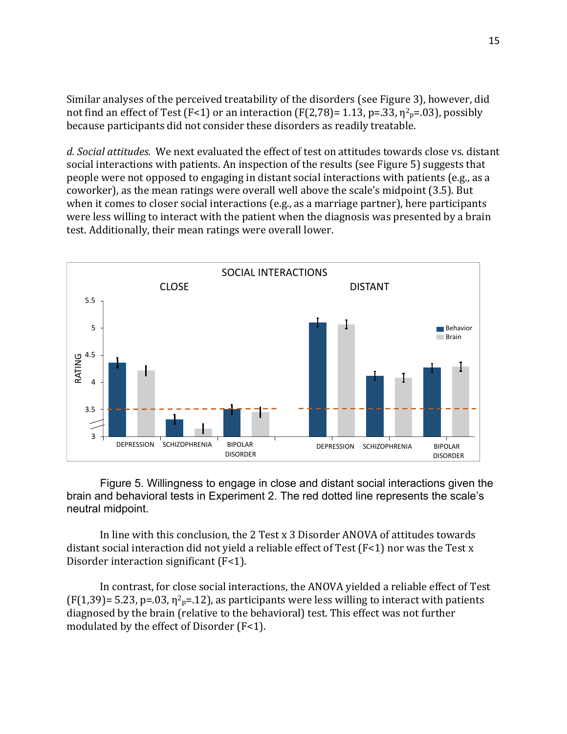Similar analyses of the perceived treatability of the disorders (see Figure 3), however, did not find an effect of Test (F<1) or an interaction (F(2,78)= 1.13, p=.33,  $\eta^2$ <sub>p</sub>=.03), possibly because participants did not consider these disorders as readily treatable.

d. Social attitudes. We next evaluated the effect of test on attitudes towards close vs. distant social interactions with patients. An inspection of the results (see Figure 5) suggests that people were not opposed to engaging in distant social interactions with patients (e.g., as a coworker), as the mean ratings were overall well above the scale's midpoint (3.5). But when it comes to closer social interactions (e.g., as a marriage partner), here participants were less willing to interact with the patient when the diagnosis was presented by a brain test. Additionally, their mean ratings were overall lower.



Figure 5. Willingness to engage in close and distant social interactions given the brain and behavioral tests in Experiment 2. The red dotted line represents the scale's neutral midpoint.

In line with this conclusion, the 2 Test x 3 Disorder ANOVA of attitudes towards distant social interaction did not yield a reliable effect of Test  $(F<1)$  nor was the Test x Disorder interaction significant  $(F<1)$ .

In contrast, for close social interactions, the ANOVA yielded a reliable effect of Test  $(F(1,39)= 5.23, p=.03, \eta^2_p=.12)$ , as participants were less willing to interact with patients diagnosed by the brain (relative to the behavioral) test. This effect was not further modulated by the effect of Disorder  $(F<1)$ .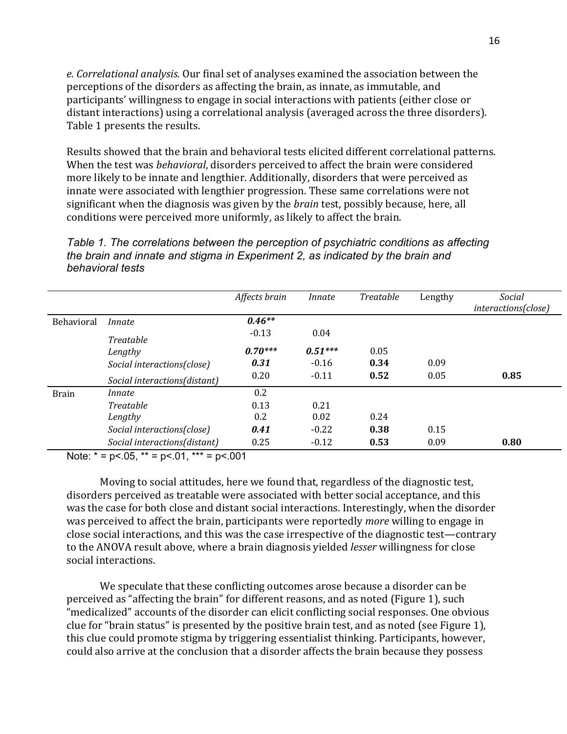e. Correlational analysis. Our final set of analyses examined the association between the perceptions of the disorders as affecting the brain, as innate, as immutable, and participants' willingness to engage in social interactions with patients (either close or distant interactions) using a correlational analysis (averaged across the three disorders). Table 1 presents the results.

Results showed that the brain and behavioral tests elicited different correlational patterns. When the test was *behavioral*, disorders perceived to affect the brain were considered more likely to be innate and lengthier. Additionally, disorders that were perceived as innate were associated with lengthier progression. These same correlations were not significant when the diagnosis was given by the *brain* test, possibly because, here, all conditions were perceived more uniformly, as likely to affect the brain.

*Table 1. The correlations between the perception of psychiatric conditions as affecting the brain and innate and stigma in Experiment 2, as indicated by the brain and behavioral tests*

|              |                              | Affects brain | Innate    | Treatable | Lengthy | Social<br><i>interactions(close)</i> |
|--------------|------------------------------|---------------|-----------|-----------|---------|--------------------------------------|
| Behavioral   | Innate                       | $0.46**$      |           |           |         |                                      |
|              | <b>Treatable</b>             | $-0.13$       | 0.04      |           |         |                                      |
|              | Lengthy                      | $0.70***$     | $0.51***$ | 0.05      |         |                                      |
|              | Social interactions(close)   | 0.31          | $-0.16$   | 0.34      | 0.09    |                                      |
|              | Social interactions(distant) | 0.20          | $-0.11$   | 0.52      | 0.05    | 0.85                                 |
| <b>Brain</b> | Innate                       | 0.2           |           |           |         |                                      |
|              | <b>Treatable</b>             | 0.13          | 0.21      |           |         |                                      |
|              | Lengthy                      | 0.2           | 0.02      | 0.24      |         |                                      |
|              | Social interactions(close)   | 0.41          | $-0.22$   | 0.38      | 0.15    |                                      |
|              | Social interactions(distant) | 0.25          | $-0.12$   | 0.53      | 0.09    | 0.80                                 |

Note:  $* = p < .05$ ,  $** = p < .01$ ,  $*** = p < .001$ 

Moving to social attitudes, here we found that, regardless of the diagnostic test, disorders perceived as treatable were associated with better social acceptance, and this was the case for both close and distant social interactions. Interestingly, when the disorder was perceived to affect the brain, participants were reportedly *more* willing to engage in close social interactions, and this was the case irrespective of the diagnostic test—contrary to the ANOVA result above, where a brain diagnosis yielded *lesser* willingness for close social interactions.

We speculate that these conflicting outcomes arose because a disorder can be perceived as "affecting the brain" for different reasons, and as noted (Figure 1), such "medicalized" accounts of the disorder can elicit conflicting social responses. One obvious clue for "brain status" is presented by the positive brain test, and as noted (see Figure 1), this clue could promote stigma by triggering essentialist thinking. Participants, however, could also arrive at the conclusion that a disorder affects the brain because they possess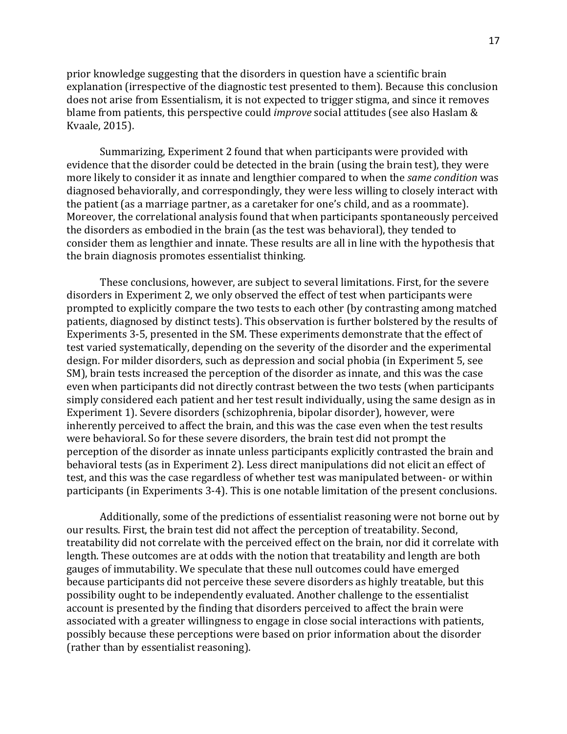prior knowledge suggesting that the disorders in question have a scientific brain explanation (irrespective of the diagnostic test presented to them). Because this conclusion does not arise from Essentialism, it is not expected to trigger stigma, and since it removes blame from patients, this perspective could *improve* social attitudes (see also Haslam & Kvaale, 2015).

Summarizing, Experiment 2 found that when participants were provided with evidence that the disorder could be detected in the brain (using the brain test), they were more likely to consider it as innate and lengthier compared to when the *same condition* was diagnosed behaviorally, and correspondingly, they were less willing to closely interact with the patient (as a marriage partner, as a caretaker for one's child, and as a roommate). Moreover, the correlational analysis found that when participants spontaneously perceived the disorders as embodied in the brain (as the test was behavioral), they tended to consider them as lengthier and innate. These results are all in line with the hypothesis that the brain diagnosis promotes essentialist thinking.

These conclusions, however, are subject to several limitations. First, for the severe disorders in Experiment 2, we only observed the effect of test when participants were prompted to explicitly compare the two tests to each other (by contrasting among matched patients, diagnosed by distinct tests). This observation is further bolstered by the results of Experiments 3-5, presented in the SM. These experiments demonstrate that the effect of test varied systematically, depending on the severity of the disorder and the experimental design. For milder disorders, such as depression and social phobia (in Experiment 5, see SM), brain tests increased the perception of the disorder as innate, and this was the case even when participants did not directly contrast between the two tests (when participants simply considered each patient and her test result individually, using the same design as in Experiment 1). Severe disorders (schizophrenia, bipolar disorder), however, were inherently perceived to affect the brain, and this was the case even when the test results were behavioral. So for these severe disorders, the brain test did not prompt the perception of the disorder as innate unless participants explicitly contrasted the brain and behavioral tests (as in Experiment 2). Less direct manipulations did not elicit an effect of test, and this was the case regardless of whether test was manipulated between- or within participants (in Experiments 3-4). This is one notable limitation of the present conclusions.

Additionally, some of the predictions of essentialist reasoning were not borne out by our results. First, the brain test did not affect the perception of treatability. Second, treatability did not correlate with the perceived effect on the brain, nor did it correlate with length. These outcomes are at odds with the notion that treatability and length are both gauges of immutability. We speculate that these null outcomes could have emerged because participants did not perceive these severe disorders as highly treatable, but this possibility ought to be independently evaluated. Another challenge to the essentialist account is presented by the finding that disorders perceived to affect the brain were associated with a greater willingness to engage in close social interactions with patients, possibly because these perceptions were based on prior information about the disorder (rather than by essentialist reasoning).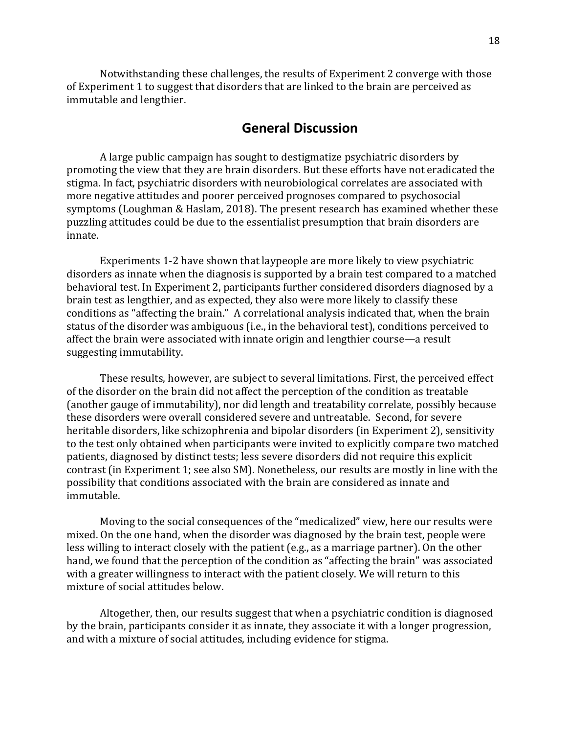Notwithstanding these challenges, the results of Experiment 2 converge with those of Experiment 1 to suggest that disorders that are linked to the brain are perceived as immutable and lengthier.

## **General Discussion**

A large public campaign has sought to destigmatize psychiatric disorders by promoting the view that they are brain disorders. But these efforts have not eradicated the stigma. In fact, psychiatric disorders with neurobiological correlates are associated with more negative attitudes and poorer perceived prognoses compared to psychosocial symptoms (Loughman & Haslam, 2018). The present research has examined whether these puzzling attitudes could be due to the essentialist presumption that brain disorders are innate.

Experiments 1-2 have shown that laypeople are more likely to view psychiatric disorders as innate when the diagnosis is supported by a brain test compared to a matched behavioral test. In Experiment 2, participants further considered disorders diagnosed by a brain test as lengthier, and as expected, they also were more likely to classify these conditions as "affecting the brain." A correlational analysis indicated that, when the brain status of the disorder was ambiguous (i.e., in the behavioral test), conditions perceived to affect the brain were associated with innate origin and lengthier course—a result suggesting immutability.

These results, however, are subject to several limitations. First, the perceived effect of the disorder on the brain did not affect the perception of the condition as treatable (another gauge of immutability), nor did length and treatability correlate, possibly because these disorders were overall considered severe and untreatable. Second, for severe heritable disorders, like schizophrenia and bipolar disorders (in Experiment 2), sensitivity to the test only obtained when participants were invited to explicitly compare two matched patients, diagnosed by distinct tests; less severe disorders did not require this explicit contrast (in Experiment 1; see also SM). Nonetheless, our results are mostly in line with the possibility that conditions associated with the brain are considered as innate and immutable. 

Moving to the social consequences of the "medicalized" view, here our results were mixed. On the one hand, when the disorder was diagnosed by the brain test, people were less willing to interact closely with the patient (e.g., as a marriage partner). On the other hand, we found that the perception of the condition as "affecting the brain" was associated with a greater willingness to interact with the patient closely. We will return to this mixture of social attitudes below.

Altogether, then, our results suggest that when a psychiatric condition is diagnosed by the brain, participants consider it as innate, they associate it with a longer progression, and with a mixture of social attitudes, including evidence for stigma.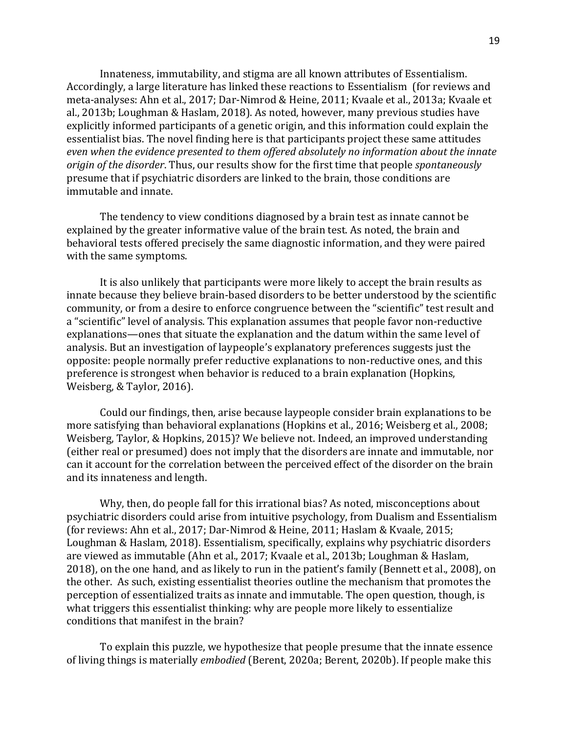Innateness, immutability, and stigma are all known attributes of Essentialism. Accordingly, a large literature has linked these reactions to Essentialism (for reviews and meta-analyses: Ahn et al., 2017; Dar-Nimrod & Heine, 2011; Kvaale et al., 2013a; Kvaale et al., 2013b; Loughman & Haslam, 2018). As noted, however, many previous studies have explicitly informed participants of a genetic origin, and this information could explain the essentialist bias. The novel finding here is that participants project these same attitudes even when the evidence presented to them offered absolutely no information about the innate *origin of the disorder.* Thus, our results show for the first time that people *spontaneously* presume that if psychiatric disorders are linked to the brain, those conditions are immutable and innate.

The tendency to view conditions diagnosed by a brain test as innate cannot be explained by the greater informative value of the brain test. As noted, the brain and behavioral tests offered precisely the same diagnostic information, and they were paired with the same symptoms.

It is also unlikely that participants were more likely to accept the brain results as innate because they believe brain-based disorders to be better understood by the scientific community, or from a desire to enforce congruence between the "scientific" test result and a "scientific" level of analysis. This explanation assumes that people favor non-reductive explanations—ones that situate the explanation and the datum within the same level of analysis. But an investigation of laypeople's explanatory preferences suggests just the opposite: people normally prefer reductive explanations to non-reductive ones, and this preference is strongest when behavior is reduced to a brain explanation (Hopkins, Weisberg, & Taylor, 2016).

Could our findings, then, arise because laypeople consider brain explanations to be more satisfying than behavioral explanations (Hopkins et al., 2016; Weisberg et al., 2008; Weisberg, Taylor, & Hopkins, 2015)? We believe not. Indeed, an improved understanding (either real or presumed) does not imply that the disorders are innate and immutable, nor can it account for the correlation between the perceived effect of the disorder on the brain and its innateness and length.

Why, then, do people fall for this irrational bias? As noted, misconceptions about psychiatric disorders could arise from intuitive psychology, from Dualism and Essentialism (for reviews: Ahn et al., 2017; Dar-Nimrod & Heine, 2011; Haslam & Kvaale, 2015; Loughman & Haslam, 2018). Essentialism, specifically, explains why psychiatric disorders are viewed as immutable (Ahn et al., 2017; Kvaale et al., 2013b; Loughman & Haslam, 2018), on the one hand, and as likely to run in the patient's family (Bennett et al., 2008), on the other. As such, existing essentialist theories outline the mechanism that promotes the perception of essentialized traits as innate and immutable. The open question, though, is what triggers this essentialist thinking: why are people more likely to essentialize conditions that manifest in the brain?

To explain this puzzle, we hypothesize that people presume that the innate essence of living things is materially *embodied* (Berent, 2020a; Berent, 2020b). If people make this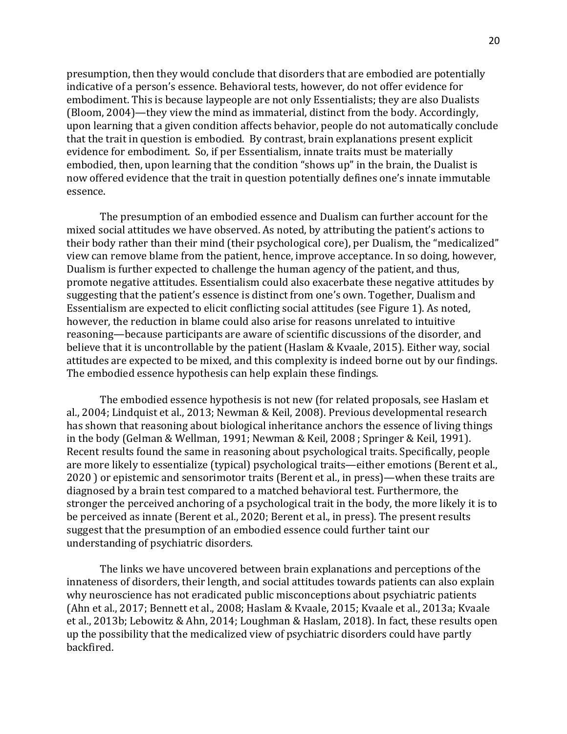presumption, then they would conclude that disorders that are embodied are potentially indicative of a person's essence. Behavioral tests, however, do not offer evidence for embodiment. This is because laypeople are not only Essentialists; they are also Dualists (Bloom, 2004)—they view the mind as immaterial, distinct from the body. Accordingly, upon learning that a given condition affects behavior, people do not automatically conclude that the trait in question is embodied. By contrast, brain explanations present explicit evidence for embodiment. So, if per Essentialism, innate traits must be materially embodied, then, upon learning that the condition "shows up" in the brain, the Dualist is now offered evidence that the trait in question potentially defines one's innate immutable essence. 

The presumption of an embodied essence and Dualism can further account for the mixed social attitudes we have observed. As noted, by attributing the patient's actions to their body rather than their mind (their psychological core), per Dualism, the "medicalized" view can remove blame from the patient, hence, improve acceptance. In so doing, however, Dualism is further expected to challenge the human agency of the patient, and thus, promote negative attitudes. Essentialism could also exacerbate these negative attitudes by suggesting that the patient's essence is distinct from one's own. Together, Dualism and Essentialism are expected to elicit conflicting social attitudes (see Figure 1). As noted, however, the reduction in blame could also arise for reasons unrelated to intuitive reasoning—because participants are aware of scientific discussions of the disorder, and believe that it is uncontrollable by the patient (Haslam & Kvaale, 2015). Either way, social attitudes are expected to be mixed, and this complexity is indeed borne out by our findings. The embodied essence hypothesis can help explain these findings.

The embodied essence hypothesis is not new (for related proposals, see Haslam et al., 2004; Lindquist et al., 2013; Newman & Keil, 2008). Previous developmental research has shown that reasoning about biological inheritance anchors the essence of living things in the body (Gelman & Wellman, 1991; Newman & Keil, 2008 ; Springer & Keil, 1991). Recent results found the same in reasoning about psychological traits. Specifically, people are more likely to essentialize (typical) psychological traits—either emotions (Berent et al., 2020 ) or epistemic and sensorimotor traits (Berent et al., in press)—when these traits are diagnosed by a brain test compared to a matched behavioral test. Furthermore, the stronger the perceived anchoring of a psychological trait in the body, the more likely it is to be perceived as innate (Berent et al., 2020; Berent et al., in press). The present results suggest that the presumption of an embodied essence could further taint our understanding of psychiatric disorders.

The links we have uncovered between brain explanations and perceptions of the innateness of disorders, their length, and social attitudes towards patients can also explain why neuroscience has not eradicated public misconceptions about psychiatric patients (Ahn et al., 2017; Bennett et al., 2008; Haslam & Kvaale, 2015; Kvaale et al., 2013a; Kvaale et al., 2013b; Lebowitz & Ahn, 2014; Loughman & Haslam, 2018). In fact, these results open up the possibility that the medicalized view of psychiatric disorders could have partly backfired.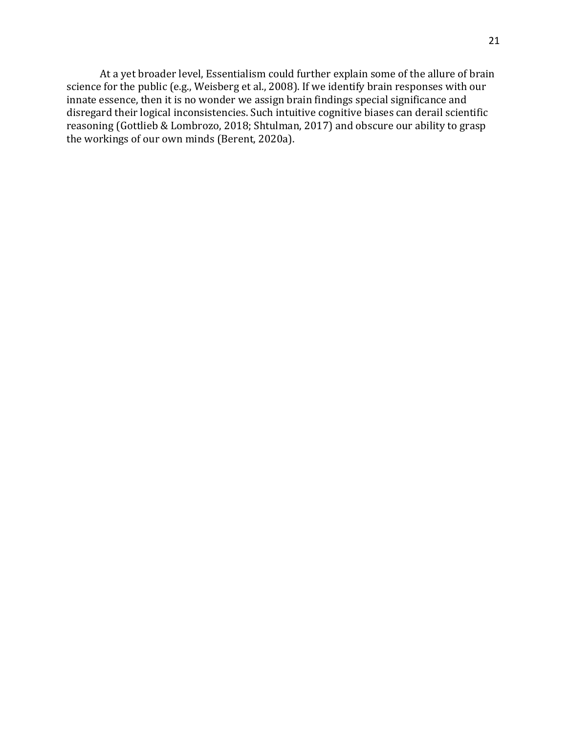At a yet broader level, Essentialism could further explain some of the allure of brain science for the public (e.g., Weisberg et al., 2008). If we identify brain responses with our innate essence, then it is no wonder we assign brain findings special significance and disregard their logical inconsistencies. Such intuitive cognitive biases can derail scientific reasoning (Gottlieb & Lombrozo, 2018; Shtulman, 2017) and obscure our ability to grasp the workings of our own minds (Berent, 2020a).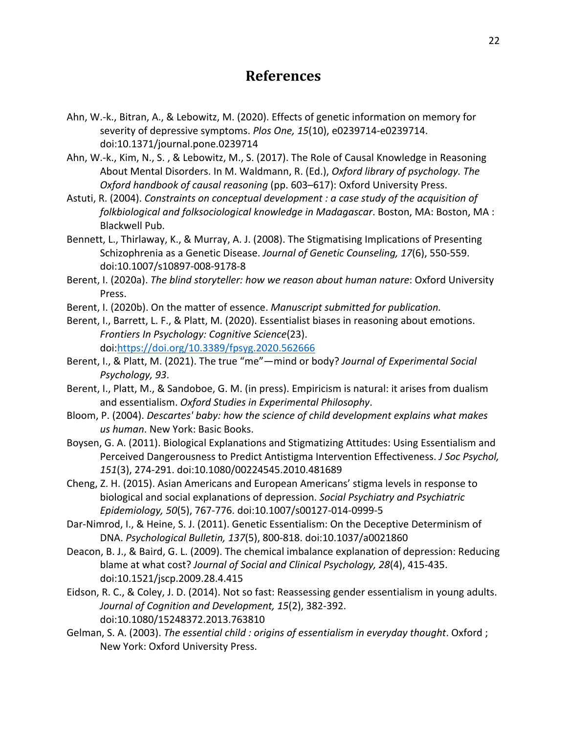# **References**

- Ahn, W.-k., Bitran, A., & Lebowitz, M. (2020). Effects of genetic information on memory for severity of depressive symptoms. *Plos One, 15*(10), e0239714-e0239714. doi:10.1371/journal.pone.0239714
- Ahn, W.-k., Kim, N., S. , & Lebowitz, M., S. (2017). The Role of Causal Knowledge in Reasoning About Mental Disorders. In M. Waldmann, R. (Ed.), *Oxford library of psychology. The Oxford handbook of causal reasoning* (pp. 603–617): Oxford University Press.
- Astuti, R. (2004). *Constraints on conceptual development : a case study of the acquisition of folkbiological and folksociological knowledge in Madagascar*. Boston, MA: Boston, MA : Blackwell Pub.
- Bennett, L., Thirlaway, K., & Murray, A. J. (2008). The Stigmatising Implications of Presenting Schizophrenia as a Genetic Disease. *Journal of Genetic Counseling, 17*(6), 550-559. doi:10.1007/s10897-008-9178-8
- Berent, I. (2020a). *The blind storyteller: how we reason about human nature*: Oxford University Press.
- Berent, I. (2020b). On the matter of essence. *Manuscript submitted for publication.*
- Berent, I., Barrett, L. F., & Platt, M. (2020). Essentialist biases in reasoning about emotions. *Frontiers In Psychology: Cognitive Science*(23). doi:https://doi.org/10.3389/fpsyg.2020.562666
- Berent, I., & Platt, M. (2021). The true "me"—mind or body? *Journal of Experimental Social Psychology, 93*.
- Berent, I., Platt, M., & Sandoboe, G. M. (in press). Empiricism is natural: it arises from dualism and essentialism. *Oxford Studies in Experimental Philosophy*.
- Bloom, P. (2004). *Descartes' baby: how the science of child development explains what makes us human*. New York: Basic Books.
- Boysen, G. A. (2011). Biological Explanations and Stigmatizing Attitudes: Using Essentialism and Perceived Dangerousness to Predict Antistigma Intervention Effectiveness. *J Soc Psychol, 151*(3), 274-291. doi:10.1080/00224545.2010.481689
- Cheng, Z. H. (2015). Asian Americans and European Americans' stigma levels in response to biological and social explanations of depression. *Social Psychiatry and Psychiatric Epidemiology, 50*(5), 767-776. doi:10.1007/s00127-014-0999-5
- Dar-Nimrod, I., & Heine, S. J. (2011). Genetic Essentialism: On the Deceptive Determinism of DNA. *Psychological Bulletin, 137*(5), 800-818. doi:10.1037/a0021860
- Deacon, B. J., & Baird, G. L. (2009). The chemical imbalance explanation of depression: Reducing blame at what cost? *Journal of Social and Clinical Psychology, 28*(4), 415-435. doi:10.1521/jscp.2009.28.4.415
- Eidson, R. C., & Coley, J. D. (2014). Not so fast: Reassessing gender essentialism in young adults. *Journal of Cognition and Development, 15*(2), 382-392. doi:10.1080/15248372.2013.763810
- Gelman, S. A. (2003). *The essential child : origins of essentialism in everyday thought*. Oxford ; New York: Oxford University Press.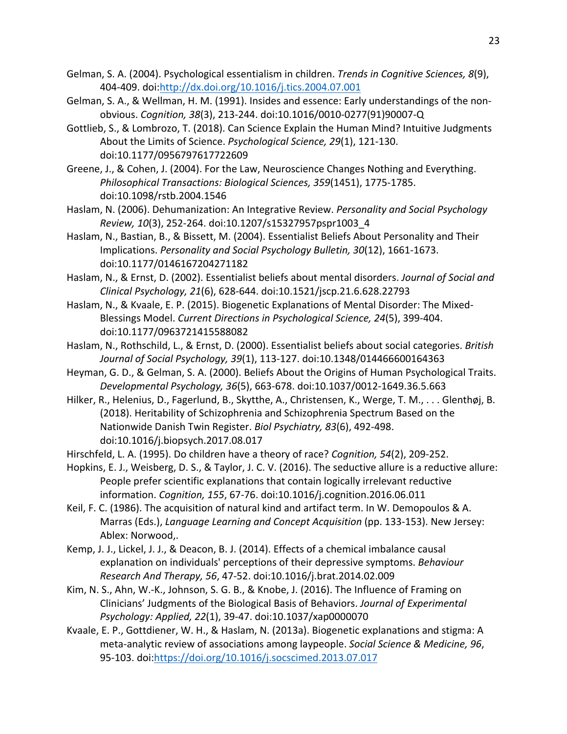- Gelman, S. A. (2004). Psychological essentialism in children. *Trends in Cognitive Sciences, 8*(9), 404-409. doi:http://dx.doi.org/10.1016/j.tics.2004.07.001
- Gelman, S. A., & Wellman, H. M. (1991). Insides and essence: Early understandings of the nonobvious. *Cognition, 38*(3), 213-244. doi:10.1016/0010-0277(91)90007-Q
- Gottlieb, S., & Lombrozo, T. (2018). Can Science Explain the Human Mind? Intuitive Judgments About the Limits of Science. *Psychological Science, 29*(1), 121-130. doi:10.1177/0956797617722609
- Greene, J., & Cohen, J. (2004). For the Law, Neuroscience Changes Nothing and Everything. *Philosophical Transactions: Biological Sciences, 359*(1451), 1775-1785. doi:10.1098/rstb.2004.1546
- Haslam, N. (2006). Dehumanization: An Integrative Review. *Personality and Social Psychology Review, 10*(3), 252-264. doi:10.1207/s15327957pspr1003\_4
- Haslam, N., Bastian, B., & Bissett, M. (2004). Essentialist Beliefs About Personality and Their Implications. *Personality and Social Psychology Bulletin, 30*(12), 1661-1673. doi:10.1177/0146167204271182
- Haslam, N., & Ernst, D. (2002). Essentialist beliefs about mental disorders. *Journal of Social and Clinical Psychology, 21*(6), 628-644. doi:10.1521/jscp.21.6.628.22793
- Haslam, N., & Kvaale, E. P. (2015). Biogenetic Explanations of Mental Disorder: The Mixed-Blessings Model. *Current Directions in Psychological Science, 24*(5), 399-404. doi:10.1177/0963721415588082
- Haslam, N., Rothschild, L., & Ernst, D. (2000). Essentialist beliefs about social categories. *British Journal of Social Psychology, 39*(1), 113-127. doi:10.1348/014466600164363
- Heyman, G. D., & Gelman, S. A. (2000). Beliefs About the Origins of Human Psychological Traits. *Developmental Psychology, 36*(5), 663-678. doi:10.1037/0012-1649.36.5.663
- Hilker, R., Helenius, D., Fagerlund, B., Skytthe, A., Christensen, K., Werge, T. M., . . . Glenthøj, B. (2018). Heritability of Schizophrenia and Schizophrenia Spectrum Based on the Nationwide Danish Twin Register. *Biol Psychiatry, 83*(6), 492-498. doi:10.1016/j.biopsych.2017.08.017
- Hirschfeld, L. A. (1995). Do children have a theory of race? *Cognition, 54*(2), 209-252.
- Hopkins, E. J., Weisberg, D. S., & Taylor, J. C. V. (2016). The seductive allure is a reductive allure: People prefer scientific explanations that contain logically irrelevant reductive information. *Cognition, 155*, 67-76. doi:10.1016/j.cognition.2016.06.011
- Keil, F. C. (1986). The acquisition of natural kind and artifact term. In W. Demopoulos & A. Marras (Eds.), *Language Learning and Concept Acquisition* (pp. 133-153). New Jersey: Ablex: Norwood,.
- Kemp, J. J., Lickel, J. J., & Deacon, B. J. (2014). Effects of a chemical imbalance causal explanation on individuals' perceptions of their depressive symptoms. *Behaviour Research And Therapy, 56*, 47-52. doi:10.1016/j.brat.2014.02.009
- Kim, N. S., Ahn, W.-K., Johnson, S. G. B., & Knobe, J. (2016). The Influence of Framing on Clinicians' Judgments of the Biological Basis of Behaviors. *Journal of Experimental Psychology: Applied, 22*(1), 39-47. doi:10.1037/xap0000070
- Kvaale, E. P., Gottdiener, W. H., & Haslam, N. (2013a). Biogenetic explanations and stigma: A meta-analytic review of associations among laypeople. *Social Science & Medicine, 96*, 95-103. doi:https://doi.org/10.1016/j.socscimed.2013.07.017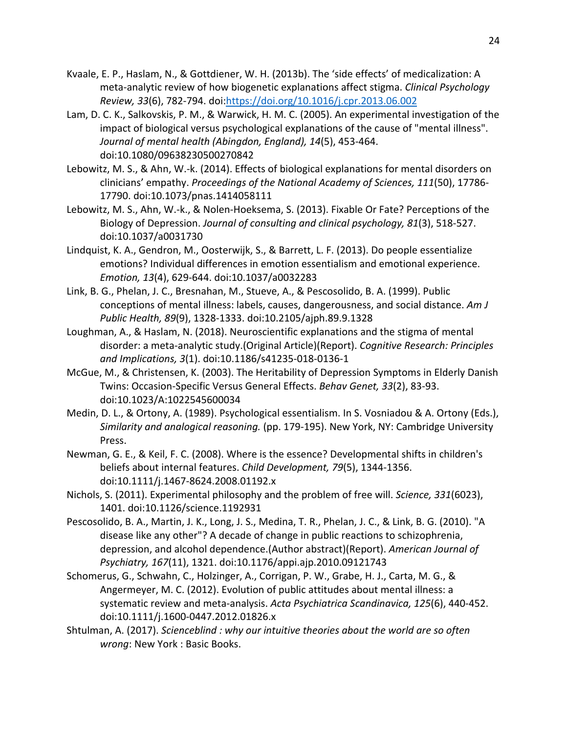- Kvaale, E. P., Haslam, N., & Gottdiener, W. H. (2013b). The 'side effects' of medicalization: A meta-analytic review of how biogenetic explanations affect stigma. *Clinical Psychology Review, 33*(6), 782-794. doi:https://doi.org/10.1016/j.cpr.2013.06.002
- Lam, D. C. K., Salkovskis, P. M., & Warwick, H. M. C. (2005). An experimental investigation of the impact of biological versus psychological explanations of the cause of "mental illness". *Journal of mental health (Abingdon, England), 14*(5), 453-464. doi:10.1080/09638230500270842
- Lebowitz, M. S., & Ahn, W.-k. (2014). Effects of biological explanations for mental disorders on clinicians' empathy. *Proceedings of the National Academy of Sciences, 111*(50), 17786- 17790. doi:10.1073/pnas.1414058111
- Lebowitz, M. S., Ahn, W.-k., & Nolen-Hoeksema, S. (2013). Fixable Or Fate? Perceptions of the Biology of Depression. *Journal of consulting and clinical psychology, 81*(3), 518-527. doi:10.1037/a0031730
- Lindquist, K. A., Gendron, M., Oosterwijk, S., & Barrett, L. F. (2013). Do people essentialize emotions? Individual differences in emotion essentialism and emotional experience. *Emotion, 13*(4), 629-644. doi:10.1037/a0032283
- Link, B. G., Phelan, J. C., Bresnahan, M., Stueve, A., & Pescosolido, B. A. (1999). Public conceptions of mental illness: labels, causes, dangerousness, and social distance. *Am J Public Health, 89*(9), 1328-1333. doi:10.2105/ajph.89.9.1328
- Loughman, A., & Haslam, N. (2018). Neuroscientific explanations and the stigma of mental disorder: a meta-analytic study.(Original Article)(Report). *Cognitive Research: Principles and Implications, 3*(1). doi:10.1186/s41235-018-0136-1
- McGue, M., & Christensen, K. (2003). The Heritability of Depression Symptoms in Elderly Danish Twins: Occasion-Specific Versus General Effects. *Behav Genet, 33*(2), 83-93. doi:10.1023/A:1022545600034
- Medin, D. L., & Ortony, A. (1989). Psychological essentialism. In S. Vosniadou & A. Ortony (Eds.), *Similarity and analogical reasoning.* (pp. 179-195). New York, NY: Cambridge University Press.
- Newman, G. E., & Keil, F. C. (2008). Where is the essence? Developmental shifts in children's beliefs about internal features. *Child Development, 79*(5), 1344-1356. doi:10.1111/j.1467-8624.2008.01192.x
- Nichols, S. (2011). Experimental philosophy and the problem of free will. *Science, 331*(6023), 1401. doi:10.1126/science.1192931
- Pescosolido, B. A., Martin, J. K., Long, J. S., Medina, T. R., Phelan, J. C., & Link, B. G. (2010). "A disease like any other"? A decade of change in public reactions to schizophrenia, depression, and alcohol dependence.(Author abstract)(Report). *American Journal of Psychiatry, 167*(11), 1321. doi:10.1176/appi.ajp.2010.09121743
- Schomerus, G., Schwahn, C., Holzinger, A., Corrigan, P. W., Grabe, H. J., Carta, M. G., & Angermeyer, M. C. (2012). Evolution of public attitudes about mental illness: a systematic review and meta-analysis. *Acta Psychiatrica Scandinavica, 125*(6), 440-452. doi:10.1111/j.1600-0447.2012.01826.x
- Shtulman, A. (2017). *Scienceblind : why our intuitive theories about the world are so often wrong*: New York : Basic Books.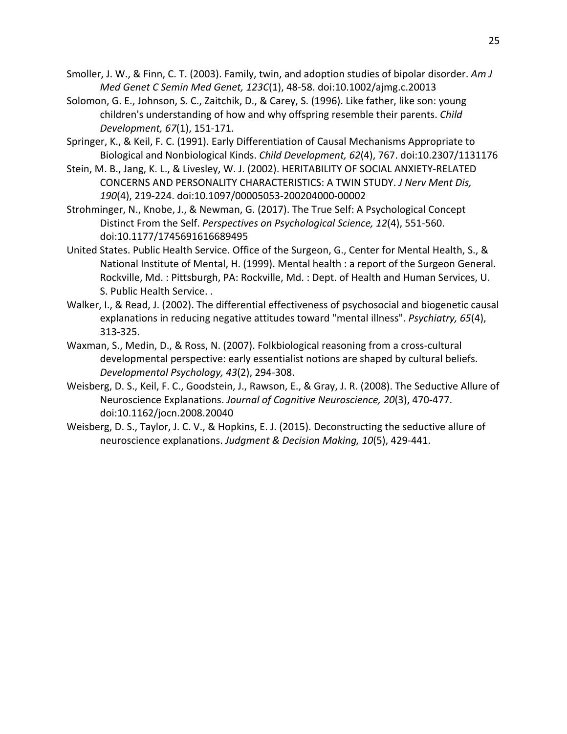Smoller, J. W., & Finn, C. T. (2003). Family, twin, and adoption studies of bipolar disorder. *Am J Med Genet C Semin Med Genet, 123C*(1), 48-58. doi:10.1002/ajmg.c.20013

Solomon, G. E., Johnson, S. C., Zaitchik, D., & Carey, S. (1996). Like father, like son: young children's understanding of how and why offspring resemble their parents. *Child Development, 67*(1), 151-171.

Springer, K., & Keil, F. C. (1991). Early Differentiation of Causal Mechanisms Appropriate to Biological and Nonbiological Kinds. *Child Development, 62*(4), 767. doi:10.2307/1131176

Stein, M. B., Jang, K. L., & Livesley, W. J. (2002). HERITABILITY OF SOCIAL ANXIETY-RELATED CONCERNS AND PERSONALITY CHARACTERISTICS: A TWIN STUDY. *J Nerv Ment Dis, 190*(4), 219-224. doi:10.1097/00005053-200204000-00002

Strohminger, N., Knobe, J., & Newman, G. (2017). The True Self: A Psychological Concept Distinct From the Self. *Perspectives on Psychological Science, 12*(4), 551-560. doi:10.1177/1745691616689495

- United States. Public Health Service. Office of the Surgeon, G., Center for Mental Health, S., & National Institute of Mental, H. (1999). Mental health : a report of the Surgeon General. Rockville, Md. : Pittsburgh, PA: Rockville, Md. : Dept. of Health and Human Services, U. S. Public Health Service. .
- Walker, I., & Read, J. (2002). The differential effectiveness of psychosocial and biogenetic causal explanations in reducing negative attitudes toward "mental illness". *Psychiatry, 65*(4), 313-325.
- Waxman, S., Medin, D., & Ross, N. (2007). Folkbiological reasoning from a cross-cultural developmental perspective: early essentialist notions are shaped by cultural beliefs. *Developmental Psychology, 43*(2), 294-308.
- Weisberg, D. S., Keil, F. C., Goodstein, J., Rawson, E., & Gray, J. R. (2008). The Seductive Allure of Neuroscience Explanations. *Journal of Cognitive Neuroscience, 20*(3), 470-477. doi:10.1162/jocn.2008.20040
- Weisberg, D. S., Taylor, J. C. V., & Hopkins, E. J. (2015). Deconstructing the seductive allure of neuroscience explanations. *Judgment & Decision Making, 10*(5), 429-441.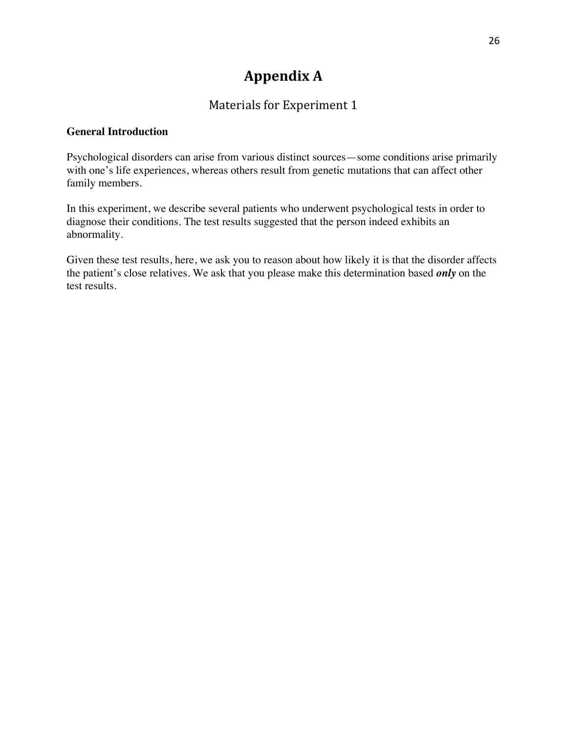# **Appendix A**

# Materials for Experiment 1

### **General Introduction**

Psychological disorders can arise from various distinct sources—some conditions arise primarily with one's life experiences, whereas others result from genetic mutations that can affect other family members.

In this experiment, we describe several patients who underwent psychological tests in order to diagnose their conditions. The test results suggested that the person indeed exhibits an abnormality.

Given these test results, here, we ask you to reason about how likely it is that the disorder affects the patient's close relatives. We ask that you please make this determination based *only* on the test results.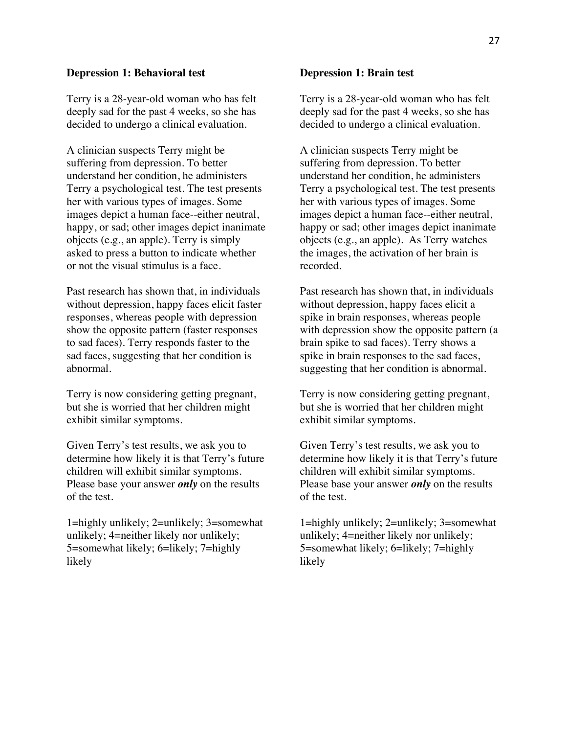#### **Depression 1: Behavioral test**

Terry is a 28-year-old woman who has felt deeply sad for the past 4 weeks, so she has decided to undergo a clinical evaluation.

A clinician suspects Terry might be suffering from depression. To better understand her condition, he administers Terry a psychological test. The test presents her with various types of images. Some images depict a human face--either neutral, happy, or sad; other images depict inanimate objects (e.g., an apple). Terry is simply asked to press a button to indicate whether or not the visual stimulus is a face.

Past research has shown that, in individuals without depression, happy faces elicit faster responses, whereas people with depression show the opposite pattern (faster responses to sad faces). Terry responds faster to the sad faces, suggesting that her condition is abnormal.

Terry is now considering getting pregnant, but she is worried that her children might exhibit similar symptoms.

Given Terry's test results, we ask you to determine how likely it is that Terry's future children will exhibit similar symptoms. Please base your answer *only* on the results of the test.

1=highly unlikely; 2=unlikely; 3=somewhat unlikely; 4=neither likely nor unlikely; 5=somewhat likely; 6=likely; 7=highly likely

#### **Depression 1: Brain test**

Terry is a 28-year-old woman who has felt deeply sad for the past 4 weeks, so she has decided to undergo a clinical evaluation.

A clinician suspects Terry might be suffering from depression. To better understand her condition, he administers Terry a psychological test. The test presents her with various types of images. Some images depict a human face--either neutral, happy or sad; other images depict inanimate objects (e.g., an apple). As Terry watches the images, the activation of her brain is recorded.

Past research has shown that, in individuals without depression, happy faces elicit a spike in brain responses, whereas people with depression show the opposite pattern (a brain spike to sad faces). Terry shows a spike in brain responses to the sad faces, suggesting that her condition is abnormal.

Terry is now considering getting pregnant, but she is worried that her children might exhibit similar symptoms.

Given Terry's test results, we ask you to determine how likely it is that Terry's future children will exhibit similar symptoms. Please base your answer *only* on the results of the test.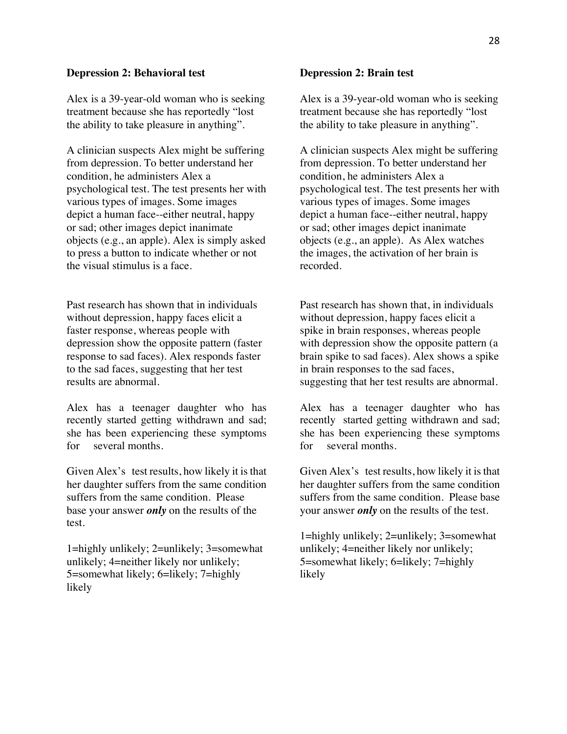#### **Depression 2: Behavioral test**

Alex is a 39-year-old woman who is seeking treatment because she has reportedly "lost the ability to take pleasure in anything".

A clinician suspects Alex might be suffering from depression. To better understand her condition, he administers Alex a psychological test. The test presents her with various types of images. Some images depict a human face--either neutral, happy or sad; other images depict inanimate objects (e.g., an apple). Alex is simply asked to press a button to indicate whether or not the visual stimulus is a face.

Past research has shown that in individuals without depression, happy faces elicit a faster response, whereas people with depression show the opposite pattern (faster response to sad faces). Alex responds faster to the sad faces, suggesting that her test results are abnormal.

Alex has a teenager daughter who has recently started getting withdrawn and sad; she has been experiencing these symptoms for several months.

Given Alex's test results, how likely it is that her daughter suffers from the same condition suffers from the same condition. Please base your answer *only* on the results of the test.

1=highly unlikely; 2=unlikely; 3=somewhat unlikely; 4=neither likely nor unlikely; 5=somewhat likely; 6=likely; 7=highly likely

#### **Depression 2: Brain test**

Alex is a 39-year-old woman who is seeking treatment because she has reportedly "lost the ability to take pleasure in anything".

A clinician suspects Alex might be suffering from depression. To better understand her condition, he administers Alex a psychological test. The test presents her with various types of images. Some images depict a human face--either neutral, happy or sad; other images depict inanimate objects (e.g., an apple). As Alex watches the images, the activation of her brain is recorded.

Past research has shown that, in individuals without depression, happy faces elicit a spike in brain responses, whereas people with depression show the opposite pattern (a brain spike to sad faces). Alex shows a spike in brain responses to the sad faces, suggesting that her test results are abnormal.

Alex has a teenager daughter who has recently started getting withdrawn and sad; she has been experiencing these symptoms for several months.

Given Alex's test results, how likely it is that her daughter suffers from the same condition suffers from the same condition. Please base your answer *only* on the results of the test.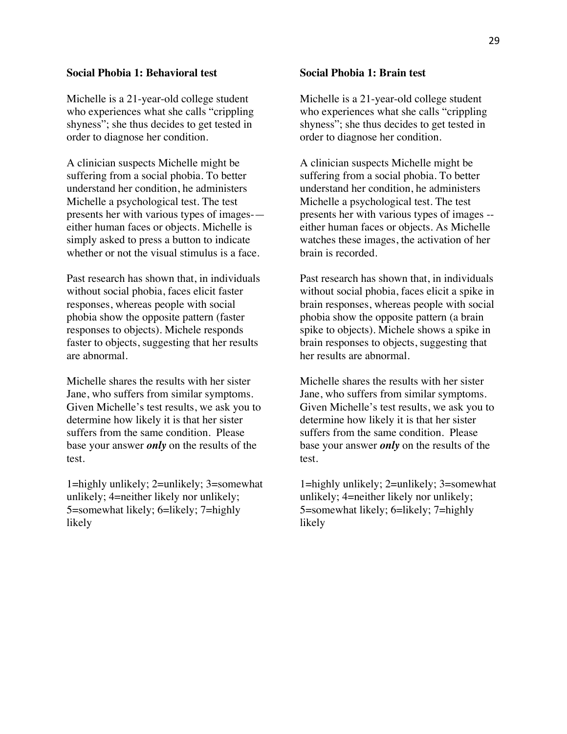#### **Social Phobia 1: Behavioral test**

Michelle is a 21-year-old college student who experiences what she calls "crippling shyness"; she thus decides to get tested in order to diagnose her condition.

A clinician suspects Michelle might be suffering from a social phobia. To better understand her condition, he administers Michelle a psychological test. The test presents her with various types of images- either human faces or objects. Michelle is simply asked to press a button to indicate whether or not the visual stimulus is a face.

Past research has shown that, in individuals without social phobia, faces elicit faster responses, whereas people with social phobia show the opposite pattern (faster responses to objects). Michele responds faster to objects, suggesting that her results are abnormal.

Michelle shares the results with her sister Jane, who suffers from similar symptoms. Given Michelle's test results, we ask you to determine how likely it is that her sister suffers from the same condition. Please base your answer *only* on the results of the test.

1=highly unlikely; 2=unlikely; 3=somewhat unlikely; 4=neither likely nor unlikely; 5=somewhat likely; 6=likely; 7=highly likely

#### **Social Phobia 1: Brain test**

Michelle is a 21-year-old college student who experiences what she calls "crippling shyness"; she thus decides to get tested in order to diagnose her condition.

A clinician suspects Michelle might be suffering from a social phobia. To better understand her condition, he administers Michelle a psychological test. The test presents her with various types of images - either human faces or objects. As Michelle watches these images, the activation of her brain is recorded.

Past research has shown that, in individuals without social phobia, faces elicit a spike in brain responses, whereas people with social phobia show the opposite pattern (a brain spike to objects). Michele shows a spike in brain responses to objects, suggesting that her results are abnormal.

Michelle shares the results with her sister Jane, who suffers from similar symptoms. Given Michelle's test results, we ask you to determine how likely it is that her sister suffers from the same condition. Please base your answer *only* on the results of the test.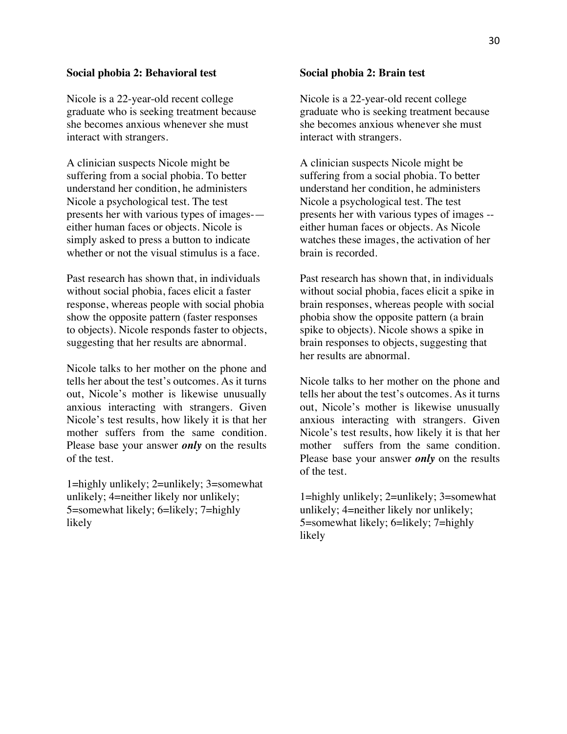#### **Social phobia 2: Behavioral test**

Nicole is a 22-year-old recent college graduate who is seeking treatment because she becomes anxious whenever she must interact with strangers.

A clinician suspects Nicole might be suffering from a social phobia. To better understand her condition, he administers Nicole a psychological test. The test presents her with various types of images- either human faces or objects. Nicole is simply asked to press a button to indicate whether or not the visual stimulus is a face.

Past research has shown that, in individuals without social phobia, faces elicit a faster response, whereas people with social phobia show the opposite pattern (faster responses to objects). Nicole responds faster to objects, suggesting that her results are abnormal.

Nicole talks to her mother on the phone and tells her about the test's outcomes. As it turns out, Nicole's mother is likewise unusually anxious interacting with strangers. Given Nicole's test results, how likely it is that her mother suffers from the same condition. Please base your answer *only* on the results of the test.

1=highly unlikely; 2=unlikely; 3=somewhat unlikely; 4=neither likely nor unlikely; 5=somewhat likely; 6=likely; 7=highly likely

#### **Social phobia 2: Brain test**

Nicole is a 22-year-old recent college graduate who is seeking treatment because she becomes anxious whenever she must interact with strangers.

A clinician suspects Nicole might be suffering from a social phobia. To better understand her condition, he administers Nicole a psychological test. The test presents her with various types of images - either human faces or objects. As Nicole watches these images, the activation of her brain is recorded.

Past research has shown that, in individuals without social phobia, faces elicit a spike in brain responses, whereas people with social phobia show the opposite pattern (a brain spike to objects). Nicole shows a spike in brain responses to objects, suggesting that her results are abnormal.

Nicole talks to her mother on the phone and tells her about the test's outcomes. As it turns out, Nicole's mother is likewise unusually anxious interacting with strangers. Given Nicole's test results, how likely it is that her mother suffers from the same condition. Please base your answer *only* on the results of the test.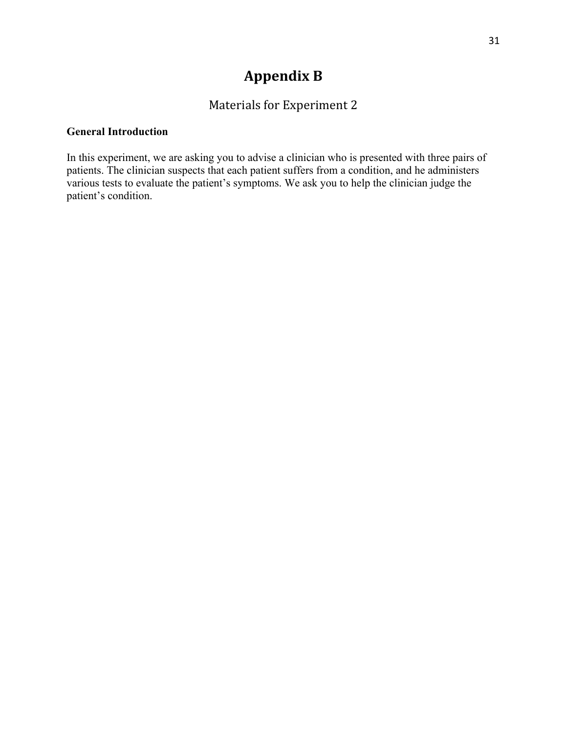# **Appendix B**

# Materials for Experiment 2

### **General Introduction**

In this experiment, we are asking you to advise a clinician who is presented with three pairs of patients. The clinician suspects that each patient suffers from a condition, and he administers various tests to evaluate the patient's symptoms. We ask you to help the clinician judge the patient's condition.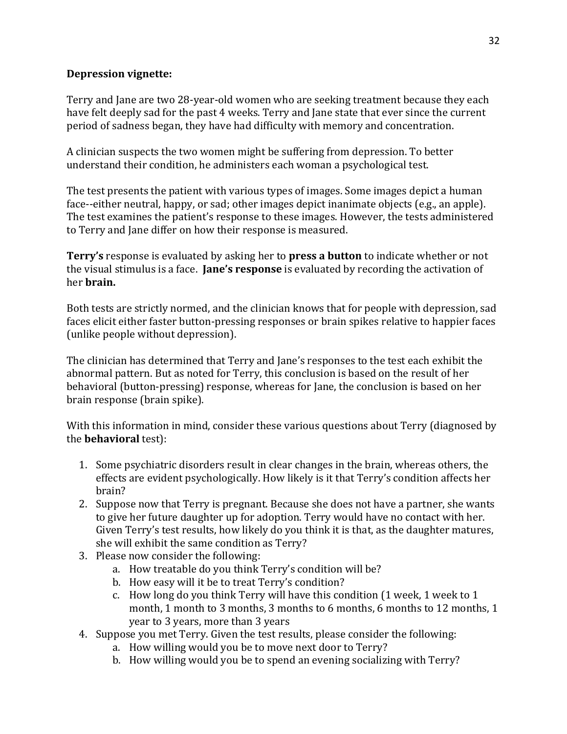### **Depression vignette:**

Terry and Jane are two 28-year-old women who are seeking treatment because they each have felt deeply sad for the past 4 weeks. Terry and Jane state that ever since the current period of sadness began, they have had difficulty with memory and concentration.

A clinician suspects the two women might be suffering from depression. To better understand their condition, he administers each woman a psychological test.

The test presents the patient with various types of images. Some images depict a human face--either neutral, happy, or sad; other images depict inanimate objects (e.g., an apple). The test examines the patient's response to these images. However, the tests administered to Terry and Jane differ on how their response is measured.

**Terry's** response is evaluated by asking her to **press a button** to indicate whether or not the visual stimulus is a face. **Jane's response** is evaluated by recording the activation of her **brain**.

Both tests are strictly normed, and the clinician knows that for people with depression, sad faces elicit either faster button-pressing responses or brain spikes relative to happier faces (unlike people without depression).

The clinician has determined that Terry and Jane's responses to the test each exhibit the abnormal pattern. But as noted for Terry, this conclusion is based on the result of her behavioral (button-pressing) response, whereas for Jane, the conclusion is based on her brain response (brain spike).

With this information in mind, consider these various questions about Terry (diagnosed by the **behavioral** test):

- 1. Some psychiatric disorders result in clear changes in the brain, whereas others, the effects are evident psychologically. How likely is it that Terry's condition affects her brain?
- 2. Suppose now that Terry is pregnant. Because she does not have a partner, she wants to give her future daughter up for adoption. Terry would have no contact with her. Given Terry's test results, how likely do you think it is that, as the daughter matures, she will exhibit the same condition as Terry?
- 3. Please now consider the following:
	- a. How treatable do you think Terry's condition will be?
	- b. How easy will it be to treat Terry's condition?
	- c. How long do you think Terry will have this condition (1 week, 1 week to 1 month, 1 month to 3 months, 3 months to 6 months, 6 months to 12 months, 1 year to 3 years, more than 3 years
- 4. Suppose you met Terry. Given the test results, please consider the following:
	- a. How willing would you be to move next door to Terry?
	- b. How willing would you be to spend an evening socializing with Terry?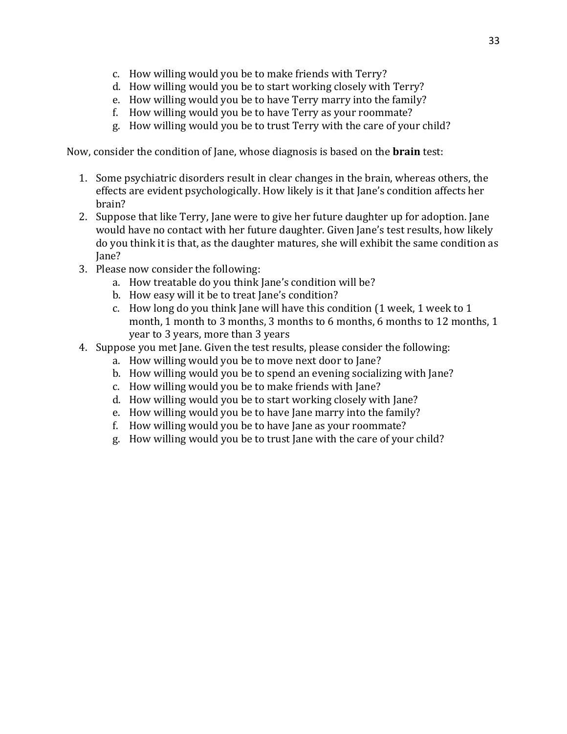- c. How willing would you be to make friends with Terry?
- d. How willing would you be to start working closely with Terry?
- e. How willing would you be to have Terry marry into the family?
- f. How willing would you be to have Terry as your roommate?
- g. How willing would you be to trust Terry with the care of your child?

Now, consider the condition of Jane, whose diagnosis is based on the **brain** test:

- 1. Some psychiatric disorders result in clear changes in the brain, whereas others, the effects are evident psychologically. How likely is it that Jane's condition affects her brain?
- 2. Suppose that like Terry, Jane were to give her future daughter up for adoption. Jane would have no contact with her future daughter. Given Jane's test results, how likely do you think it is that, as the daughter matures, she will exhibit the same condition as Jane?
- 3. Please now consider the following:
	- a. How treatable do you think Jane's condition will be?
	- b. How easy will it be to treat Jane's condition?
	- c. How long do you think Jane will have this condition (1 week, 1 week to 1 month, 1 month to 3 months, 3 months to 6 months, 6 months to 12 months, 1 year to 3 years, more than 3 years
- 4. Suppose you met Jane. Given the test results, please consider the following:
	- a. How willing would you be to move next door to Jane?
	- b. How willing would you be to spend an evening socializing with Jane?
	- c. How willing would you be to make friends with Jane?
	- d. How willing would you be to start working closely with Jane?
	- e. How willing would you be to have Jane marry into the family?
	- f. How willing would you be to have Jane as your roommate?
	- g. How willing would you be to trust Jane with the care of your child?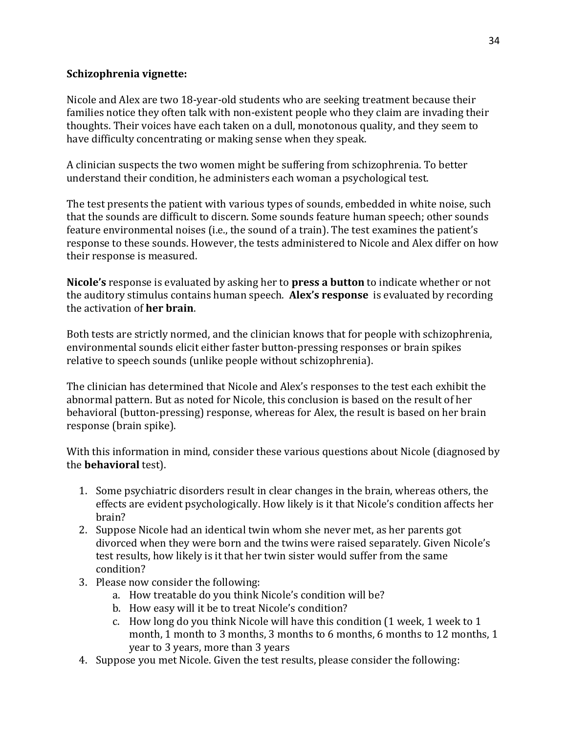### **Schizophrenia** vignette:

Nicole and Alex are two 18-year-old students who are seeking treatment because their families notice they often talk with non-existent people who they claim are invading their thoughts. Their voices have each taken on a dull, monotonous quality, and they seem to have difficulty concentrating or making sense when they speak.

A clinician suspects the two women might be suffering from schizophrenia. To better understand their condition, he administers each woman a psychological test.

The test presents the patient with various types of sounds, embedded in white noise, such that the sounds are difficult to discern. Some sounds feature human speech; other sounds feature environmental noises (i.e., the sound of a train). The test examines the patient's response to these sounds. However, the tests administered to Nicole and Alex differ on how their response is measured.

**Nicole's** response is evaluated by asking her to **press a button** to indicate whether or not the auditory stimulus contains human speech. **Alex's response** is evaluated by recording the activation of **her brain**. 

Both tests are strictly normed, and the clinician knows that for people with schizophrenia, environmental sounds elicit either faster button-pressing responses or brain spikes relative to speech sounds (unlike people without schizophrenia).

The clinician has determined that Nicole and Alex's responses to the test each exhibit the abnormal pattern. But as noted for Nicole, this conclusion is based on the result of her behavioral (button-pressing) response, whereas for Alex, the result is based on her brain response (brain spike).

With this information in mind, consider these various questions about Nicole (diagnosed by the **behavioral** test).

- 1. Some psychiatric disorders result in clear changes in the brain, whereas others, the effects are evident psychologically. How likely is it that Nicole's condition affects her brain?
- 2. Suppose Nicole had an identical twin whom she never met, as her parents got divorced when they were born and the twins were raised separately. Given Nicole's test results, how likely is it that her twin sister would suffer from the same condition?
- 3. Please now consider the following:
	- a. How treatable do you think Nicole's condition will be?
	- b. How easy will it be to treat Nicole's condition?
	- c. How long do you think Nicole will have this condition (1 week, 1 week to 1 month, 1 month to 3 months, 3 months to 6 months, 6 months to 12 months, 1 year to 3 years, more than 3 years
- 4. Suppose you met Nicole. Given the test results, please consider the following: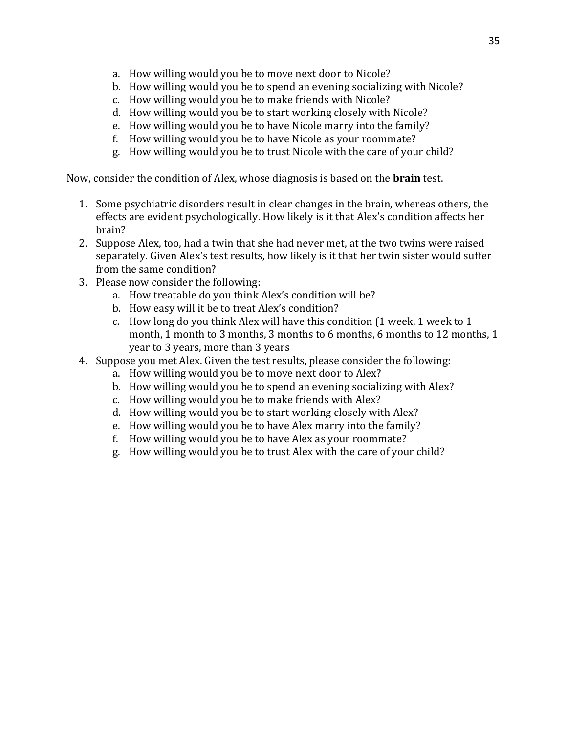- a. How willing would you be to move next door to Nicole?
- b. How willing would you be to spend an evening socializing with Nicole?
- c. How willing would you be to make friends with Nicole?
- d. How willing would you be to start working closely with Nicole?
- e. How willing would you be to have Nicole marry into the family?
- f. How willing would you be to have Nicole as your roommate?
- g. How willing would you be to trust Nicole with the care of your child?

Now, consider the condition of Alex, whose diagnosis is based on the **brain** test.

- 1. Some psychiatric disorders result in clear changes in the brain, whereas others, the effects are evident psychologically. How likely is it that Alex's condition affects her brain?
- 2. Suppose Alex, too, had a twin that she had never met, at the two twins were raised separately. Given Alex's test results, how likely is it that her twin sister would suffer from the same condition?
- 3. Please now consider the following:
	- a. How treatable do you think Alex's condition will be?
	- b. How easy will it be to treat Alex's condition?
	- c. How long do you think Alex will have this condition (1 week, 1 week to 1 month, 1 month to 3 months, 3 months to 6 months, 6 months to 12 months, 1 year to 3 years, more than 3 years
- 4. Suppose you met Alex. Given the test results, please consider the following:
	- a. How willing would you be to move next door to Alex?
	- b. How willing would you be to spend an evening socializing with Alex?
	- c. How willing would you be to make friends with Alex?
	- d. How willing would you be to start working closely with Alex?
	- e. How willing would you be to have Alex marry into the family?
	- f. How willing would you be to have Alex as your roommate?
	- g. How willing would you be to trust Alex with the care of your child?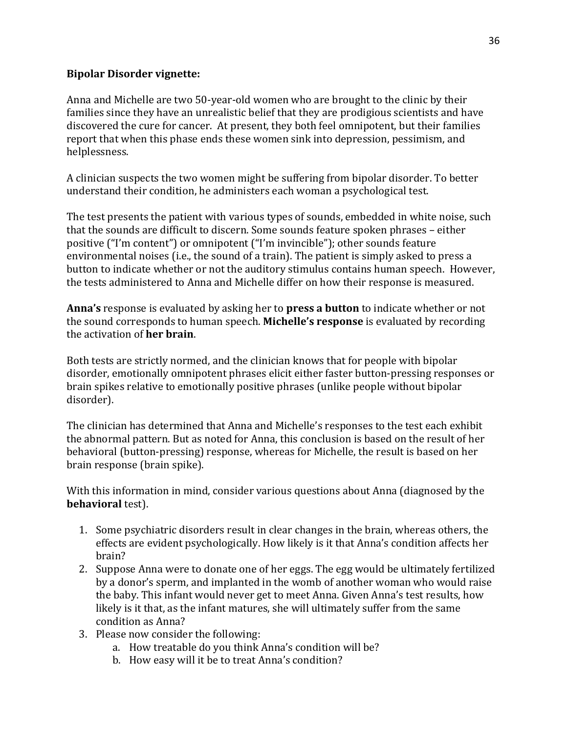### **Bipolar Disorder vignette:**

Anna and Michelle are two 50-year-old women who are brought to the clinic by their families since they have an unrealistic belief that they are prodigious scientists and have discovered the cure for cancer. At present, they both feel omnipotent, but their families report that when this phase ends these women sink into depression, pessimism, and helplessness.

A clinician suspects the two women might be suffering from bipolar disorder. To better understand their condition, he administers each woman a psychological test.

The test presents the patient with various types of sounds, embedded in white noise, such that the sounds are difficult to discern. Some sounds feature spoken phrases - either positive ("I'm content") or omnipotent ("I'm invincible"); other sounds feature environmental noises (i.e., the sound of a train). The patient is simply asked to press a button to indicate whether or not the auditory stimulus contains human speech. However, the tests administered to Anna and Michelle differ on how their response is measured.

**Anna's** response is evaluated by asking her to **press a button** to indicate whether or not the sound corresponds to human speech. **Michelle's response** is evaluated by recording the activation of **her brain**.

Both tests are strictly normed, and the clinician knows that for people with bipolar disorder, emotionally omnipotent phrases elicit either faster button-pressing responses or brain spikes relative to emotionally positive phrases (unlike people without bipolar disorder). 

The clinician has determined that Anna and Michelle's responses to the test each exhibit the abnormal pattern. But as noted for Anna, this conclusion is based on the result of her behavioral (button-pressing) response, whereas for Michelle, the result is based on her brain response (brain spike).

With this information in mind, consider various questions about Anna (diagnosed by the **behavioral** test).

- 1. Some psychiatric disorders result in clear changes in the brain, whereas others, the effects are evident psychologically. How likely is it that Anna's condition affects her brain?
- 2. Suppose Anna were to donate one of her eggs. The egg would be ultimately fertilized by a donor's sperm, and implanted in the womb of another woman who would raise the baby. This infant would never get to meet Anna. Given Anna's test results, how likely is it that, as the infant matures, she will ultimately suffer from the same condition as Anna?
- 3. Please now consider the following:
	- a. How treatable do you think Anna's condition will be?
	- b. How easy will it be to treat Anna's condition?